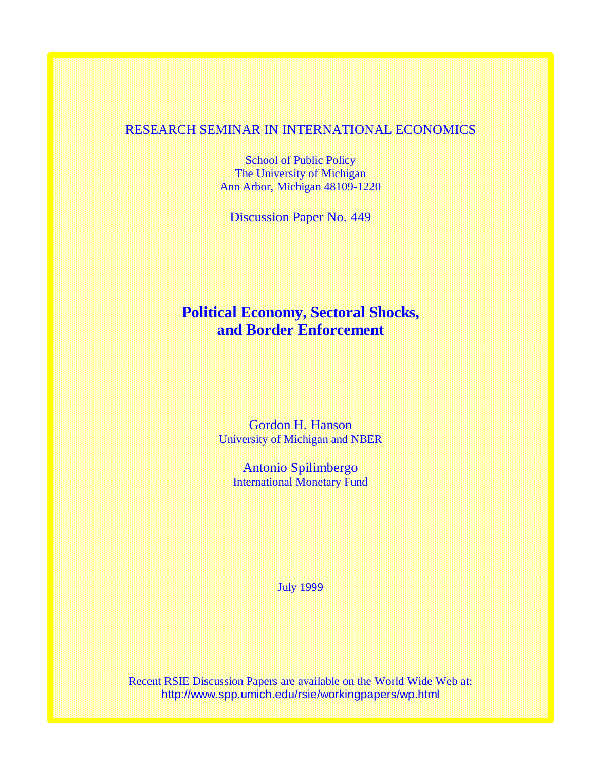# RESEARCH SEMINAR IN INTERNATIONAL ECONOMICS

School of Public Policy The University of Michigan Ann Arbor, Michigan 48109-1220

Discussion Paper No. 449

# **Political Economy, Sectoral Shocks, and Border Enforcement**

Gordon H. Hanson University of Michigan and NBER

Antonio Spilimbergo International Monetary Fund

July 1999

Recent RSIE Discussion Papers are available on the World Wide Web at: http://www.spp.umich.edu/rsie/workingpapers/wp.html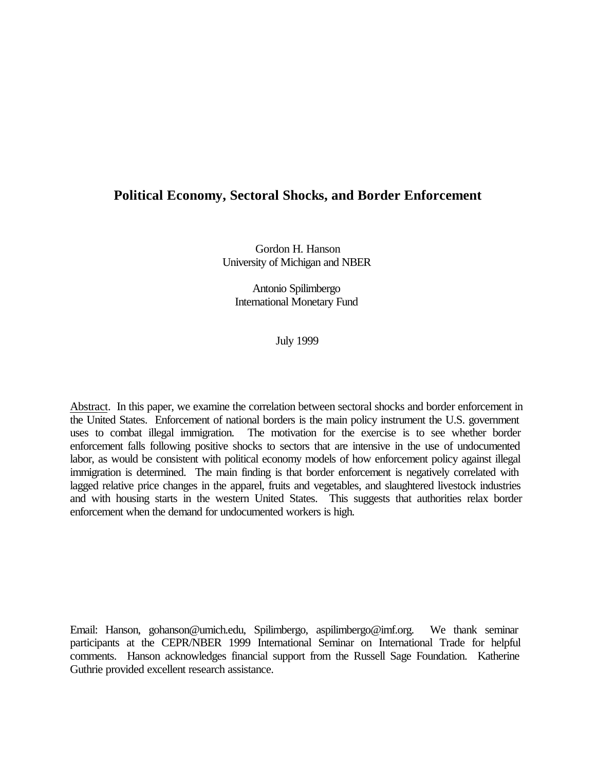### **Political Economy, Sectoral Shocks, and Border Enforcement**

Gordon H. Hanson University of Michigan and NBER

Antonio Spilimbergo International Monetary Fund

July 1999

Abstract. In this paper, we examine the correlation between sectoral shocks and border enforcement in the United States. Enforcement of national borders is the main policy instrument the U.S. government uses to combat illegal immigration. The motivation for the exercise is to see whether border enforcement falls following positive shocks to sectors that are intensive in the use of undocumented labor, as would be consistent with political economy models of how enforcement policy against illegal immigration is determined. The main finding is that border enforcement is negatively correlated with lagged relative price changes in the apparel, fruits and vegetables, and slaughtered livestock industries and with housing starts in the western United States. This suggests that authorities relax border enforcement when the demand for undocumented workers is high.

Email: Hanson, gohanson@umich.edu, Spilimbergo, aspilimbergo@imf.org. We thank seminar participants at the CEPR/NBER 1999 International Seminar on International Trade for helpful comments. Hanson acknowledges financial support from the Russell Sage Foundation. Katherine Guthrie provided excellent research assistance.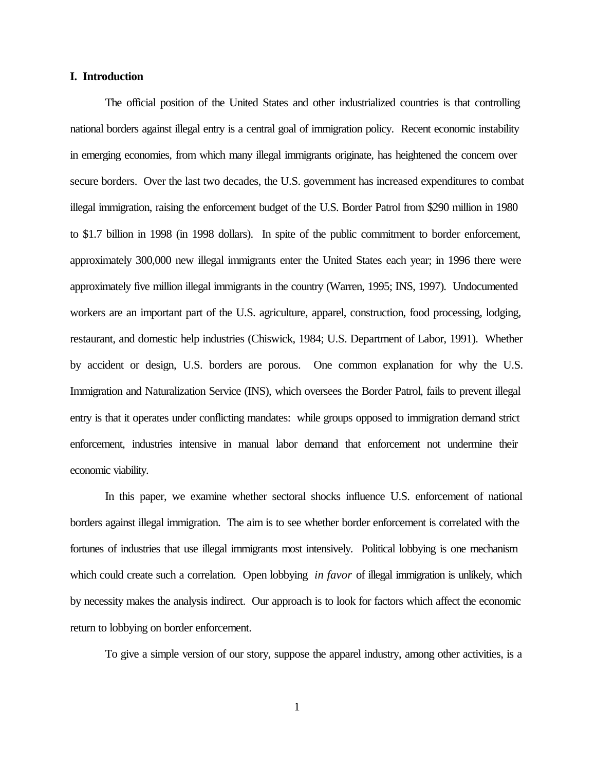#### **I. Introduction**

The official position of the United States and other industrialized countries is that controlling national borders against illegal entry is a central goal of immigration policy. Recent economic instability in emerging economies, from which many illegal immigrants originate, has heightened the concern over secure borders. Over the last two decades, the U.S. government has increased expenditures to combat illegal immigration, raising the enforcement budget of the U.S. Border Patrol from \$290 million in 1980 to \$1.7 billion in 1998 (in 1998 dollars). In spite of the public commitment to border enforcement, approximately 300,000 new illegal immigrants enter the United States each year; in 1996 there were approximately five million illegal immigrants in the country (Warren, 1995; INS, 1997). Undocumented workers are an important part of the U.S. agriculture, apparel, construction, food processing, lodging, restaurant, and domestic help industries (Chiswick, 1984; U.S. Department of Labor, 1991). Whether by accident or design, U.S. borders are porous. One common explanation for why the U.S. Immigration and Naturalization Service (INS), which oversees the Border Patrol, fails to prevent illegal entry is that it operates under conflicting mandates: while groups opposed to immigration demand strict enforcement, industries intensive in manual labor demand that enforcement not undermine their economic viability.

In this paper, we examine whether sectoral shocks influence U.S. enforcement of national borders against illegal immigration. The aim is to see whether border enforcement is correlated with the fortunes of industries that use illegal immigrants most intensively. Political lobbying is one mechanism which could create such a correlation. Open lobbying *in favor* of illegal immigration is unlikely, which by necessity makes the analysis indirect. Our approach is to look for factors which affect the economic return to lobbying on border enforcement.

To give a simple version of our story, suppose the apparel industry, among other activities, is a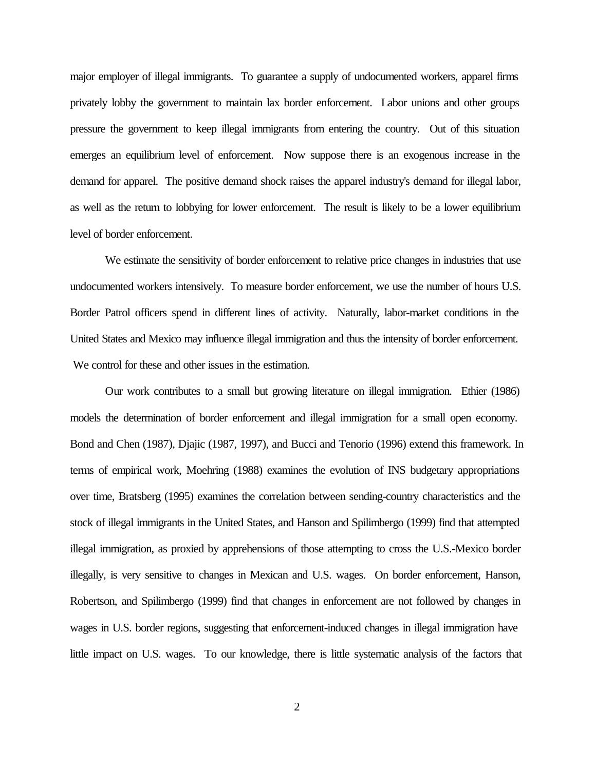major employer of illegal immigrants. To guarantee a supply of undocumented workers, apparel firms privately lobby the government to maintain lax border enforcement. Labor unions and other groups pressure the government to keep illegal immigrants from entering the country. Out of this situation emerges an equilibrium level of enforcement. Now suppose there is an exogenous increase in the demand for apparel. The positive demand shock raises the apparel industry's demand for illegal labor, as well as the return to lobbying for lower enforcement. The result is likely to be a lower equilibrium level of border enforcement.

We estimate the sensitivity of border enforcement to relative price changes in industries that use undocumented workers intensively. To measure border enforcement, we use the number of hours U.S. Border Patrol officers spend in different lines of activity. Naturally, labor-market conditions in the United States and Mexico may influence illegal immigration and thus the intensity of border enforcement. We control for these and other issues in the estimation.

Our work contributes to a small but growing literature on illegal immigration. Ethier (1986) models the determination of border enforcement and illegal immigration for a small open economy. Bond and Chen (1987), Djajic (1987, 1997), and Bucci and Tenorio (1996) extend this framework. In terms of empirical work, Moehring (1988) examines the evolution of INS budgetary appropriations over time, Bratsberg (1995) examines the correlation between sending-country characteristics and the stock of illegal immigrants in the United States, and Hanson and Spilimbergo (1999) find that attempted illegal immigration, as proxied by apprehensions of those attempting to cross the U.S.-Mexico border illegally, is very sensitive to changes in Mexican and U.S. wages. On border enforcement, Hanson, Robertson, and Spilimbergo (1999) find that changes in enforcement are not followed by changes in wages in U.S. border regions, suggesting that enforcement-induced changes in illegal immigration have little impact on U.S. wages. To our knowledge, there is little systematic analysis of the factors that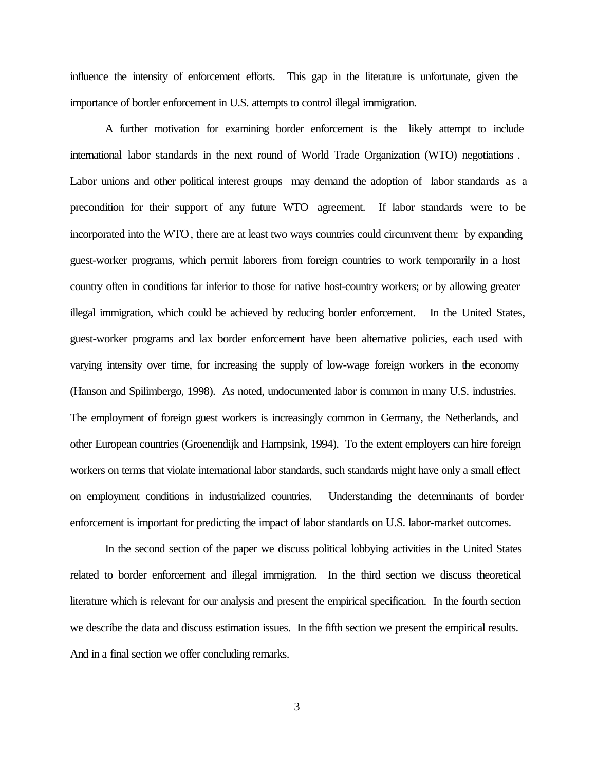influence the intensity of enforcement efforts. This gap in the literature is unfortunate, given the importance of border enforcement in U.S. attempts to control illegal immigration.

A further motivation for examining border enforcement is the likely attempt to include international labor standards in the next round of World Trade Organization (WTO) negotiations . Labor unions and other political interest groups may demand the adoption of labor standards as a precondition for their support of any future WTO agreement. If labor standards were to be incorporated into the WTO, there are at least two ways countries could circumvent them: by expanding guest-worker programs, which permit laborers from foreign countries to work temporarily in a host country often in conditions far inferior to those for native host-country workers; or by allowing greater illegal immigration, which could be achieved by reducing border enforcement. In the United States, guest-worker programs and lax border enforcement have been alternative policies, each used with varying intensity over time, for increasing the supply of low-wage foreign workers in the economy (Hanson and Spilimbergo, 1998). As noted, undocumented labor is common in many U.S. industries. The employment of foreign guest workers is increasingly common in Germany, the Netherlands, and other European countries (Groenendijk and Hampsink, 1994). To the extent employers can hire foreign workers on terms that violate international labor standards, such standards might have only a small effect on employment conditions in industrialized countries. Understanding the determinants of border enforcement is important for predicting the impact of labor standards on U.S. labor-market outcomes.

In the second section of the paper we discuss political lobbying activities in the United States related to border enforcement and illegal immigration. In the third section we discuss theoretical literature which is relevant for our analysis and present the empirical specification. In the fourth section we describe the data and discuss estimation issues. In the fifth section we present the empirical results. And in a final section we offer concluding remarks.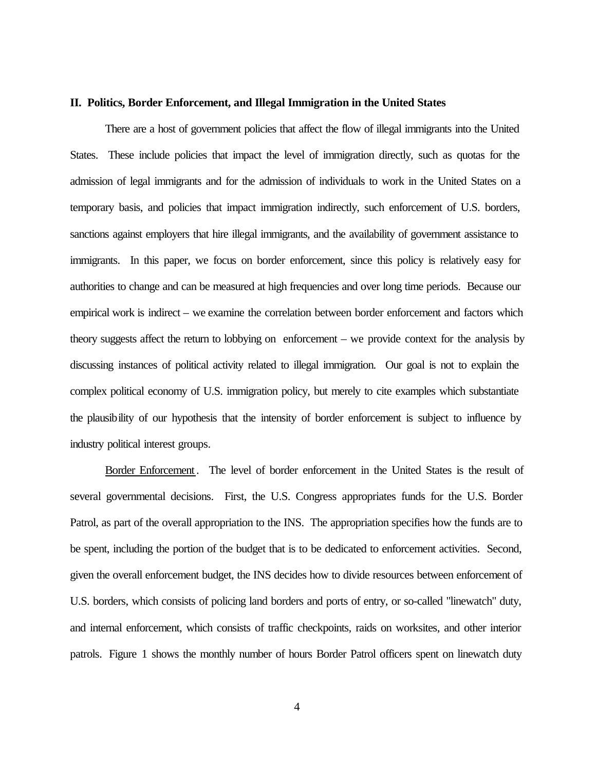#### **II. Politics, Border Enforcement, and Illegal Immigration in the United States**

There are a host of government policies that affect the flow of illegal immigrants into the United States. These include policies that impact the level of immigration directly, such as quotas for the admission of legal immigrants and for the admission of individuals to work in the United States on a temporary basis, and policies that impact immigration indirectly, such enforcement of U.S. borders, sanctions against employers that hire illegal immigrants, and the availability of government assistance to immigrants. In this paper, we focus on border enforcement, since this policy is relatively easy for authorities to change and can be measured at high frequencies and over long time periods. Because our empirical work is indirect – we examine the correlation between border enforcement and factors which theory suggests affect the return to lobbying on enforcement – we provide context for the analysis by discussing instances of political activity related to illegal immigration. Our goal is not to explain the complex political economy of U.S. immigration policy, but merely to cite examples which substantiate the plausibility of our hypothesis that the intensity of border enforcement is subject to influence by industry political interest groups.

Border Enforcement . The level of border enforcement in the United States is the result of several governmental decisions. First, the U.S. Congress appropriates funds for the U.S. Border Patrol, as part of the overall appropriation to the INS. The appropriation specifies how the funds are to be spent, including the portion of the budget that is to be dedicated to enforcement activities. Second, given the overall enforcement budget, the INS decides how to divide resources between enforcement of U.S. borders, which consists of policing land borders and ports of entry, or so-called "linewatch" duty, and internal enforcement, which consists of traffic checkpoints, raids on worksites, and other interior patrols. Figure 1 shows the monthly number of hours Border Patrol officers spent on linewatch duty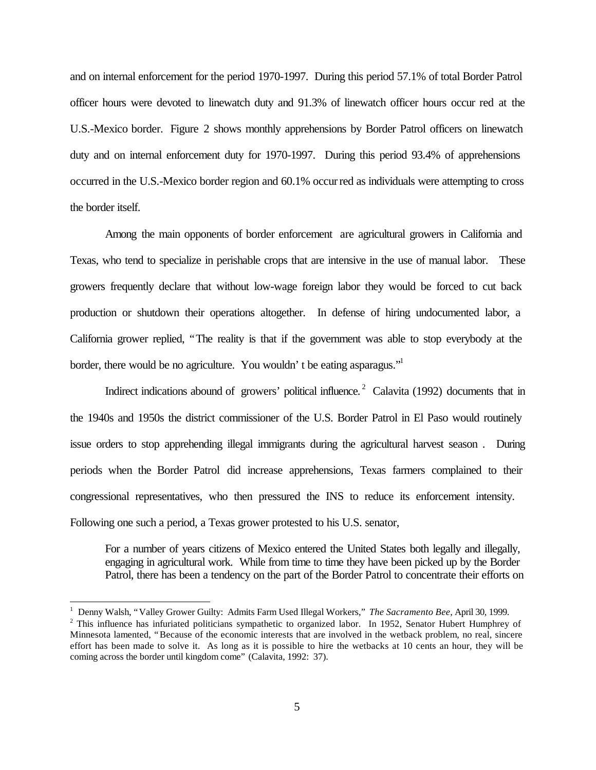and on internal enforcement for the period 1970-1997. During this period 57.1% of total Border Patrol officer hours were devoted to linewatch duty and 91.3% of linewatch officer hours occur red at the U.S.-Mexico border. Figure 2 shows monthly apprehensions by Border Patrol officers on linewatch duty and on internal enforcement duty for 1970-1997. During this period 93.4% of apprehensions occurred in the U.S.-Mexico border region and 60.1% occurred as individuals were attempting to cross the border itself.

Among the main opponents of border enforcement are agricultural growers in California and Texas, who tend to specialize in perishable crops that are intensive in the use of manual labor. These growers frequently declare that without low-wage foreign labor they would be forced to cut back production or shutdown their operations altogether. In defense of hiring undocumented labor, a California grower replied, "The reality is that if the government was able to stop everybody at the border, there would be no agriculture. You wouldn't be eating asparagus."

Indirect indications abound of growers' political influence.<sup>2</sup> Calavita (1992) documents that in the 1940s and 1950s the district commissioner of the U.S. Border Patrol in El Paso would routinely issue orders to stop apprehending illegal immigrants during the agricultural harvest season . During periods when the Border Patrol did increase apprehensions, Texas farmers complained to their congressional representatives, who then pressured the INS to reduce its enforcement intensity. Following one such a period, a Texas grower protested to his U.S. senator,

For a number of years citizens of Mexico entered the United States both legally and illegally, engaging in agricultural work. While from time to time they have been picked up by the Border Patrol, there has been a tendency on the part of the Border Patrol to concentrate their efforts on

<sup>1</sup> Denny Walsh, "Valley Grower Guilty: Admits Farm Used Illegal Workers," *The Sacramento Bee*, April 30, 1999.  $2$  This influence has infuriated politicians sympathetic to organized labor. In 1952, Senator Hubert Humphrey of Minnesota lamented, "Because of the economic interests that are involved in the wetback problem, no real, sincere effort has been made to solve it. As long as it is possible to hire the wetbacks at 10 cents an hour, they will be coming across the border until kingdom come" (Calavita, 1992: 37).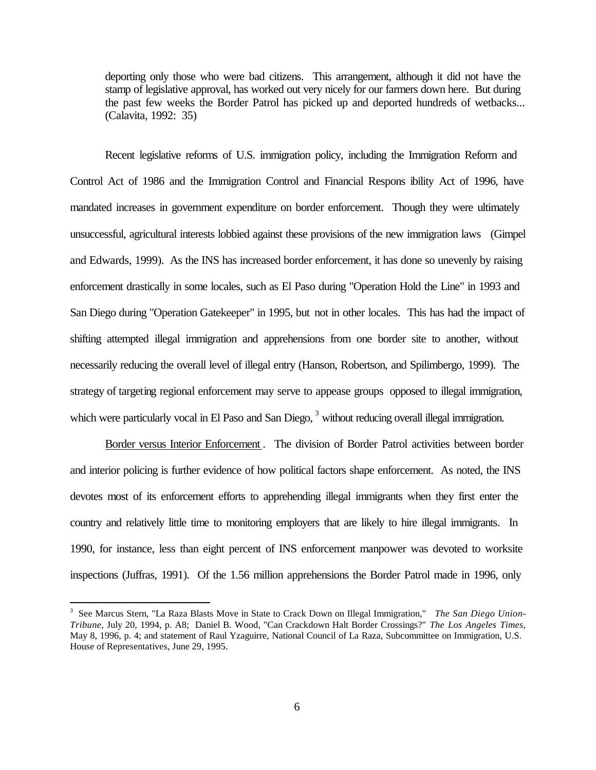deporting only those who were bad citizens. This arrangement, although it did not have the stamp of legislative approval, has worked out very nicely for our farmers down here. But during the past few weeks the Border Patrol has picked up and deported hundreds of wetbacks... (Calavita, 1992: 35)

Recent legislative reforms of U.S. immigration policy, including the Immigration Reform and Control Act of 1986 and the Immigration Control and Financial Respons ibility Act of 1996, have mandated increases in government expenditure on border enforcement. Though they were ultimately unsuccessful, agricultural interests lobbied against these provisions of the new immigration laws (Gimpel and Edwards, 1999). As the INS has increased border enforcement, it has done so unevenly by raising enforcement drastically in some locales, such as El Paso during "Operation Hold the Line" in 1993 and San Diego during "Operation Gatekeeper" in 1995, but not in other locales. This has had the impact of shifting attempted illegal immigration and apprehensions from one border site to another, without necessarily reducing the overall level of illegal entry (Hanson, Robertson, and Spilimbergo, 1999). The strategy of targeting regional enforcement may serve to appease groups opposed to illegal immigration, which were particularly vocal in El Paso and San Diego, <sup>3</sup> without reducing overall illegal immigration.

Border versus Interior Enforcement . The division of Border Patrol activities between border and interior policing is further evidence of how political factors shape enforcement. As noted, the INS devotes most of its enforcement efforts to apprehending illegal immigrants when they first enter the country and relatively little time to monitoring employers that are likely to hire illegal immigrants. In 1990, for instance, less than eight percent of INS enforcement manpower was devoted to worksite inspections (Juffras, 1991). Of the 1.56 million apprehensions the Border Patrol made in 1996, only

<sup>3</sup> See Marcus Stern, "La Raza Blasts Move in State to Crack Down on Illegal Immigration," *The San Diego Union-Tribune*, July 20, 1994, p. A8; Daniel B. Wood, "Can Crackdown Halt Border Crossings?" *The Los Angeles Times*, May 8, 1996, p. 4; and statement of Raul Yzaguirre, National Council of La Raza, Subcommittee on Immigration, U.S. House of Representatives, June 29, 1995.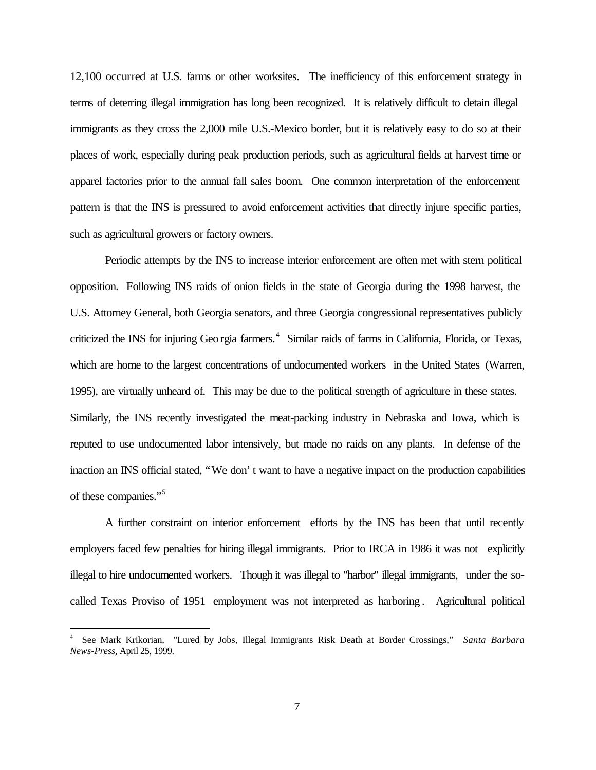12,100 occurred at U.S. farms or other worksites. The inefficiency of this enforcement strategy in terms of deterring illegal immigration has long been recognized. It is relatively difficult to detain illegal immigrants as they cross the 2,000 mile U.S.-Mexico border, but it is relatively easy to do so at their places of work, especially during peak production periods, such as agricultural fields at harvest time or apparel factories prior to the annual fall sales boom. One common interpretation of the enforcement pattern is that the INS is pressured to avoid enforcement activities that directly injure specific parties, such as agricultural growers or factory owners.

Periodic attempts by the INS to increase interior enforcement are often met with stern political opposition. Following INS raids of onion fields in the state of Georgia during the 1998 harvest, the U.S. Attorney General, both Georgia senators, and three Georgia congressional representatives publicly criticized the INS for injuring Geo rgia farmers.<sup>4</sup> Similar raids of farms in California, Florida, or Texas, which are home to the largest concentrations of undocumented workers in the United States (Warren, 1995), are virtually unheard of. This may be due to the political strength of agriculture in these states. Similarly, the INS recently investigated the meat-packing industry in Nebraska and Iowa, which is reputed to use undocumented labor intensively, but made no raids on any plants. In defense of the inaction an INS official stated, "We don't want to have a negative impact on the production capabilities of these companies."<sup>5</sup>

A further constraint on interior enforcement efforts by the INS has been that until recently employers faced few penalties for hiring illegal immigrants. Prior to IRCA in 1986 it was not explicitly illegal to hire undocumented workers. Though it was illegal to "harbor" illegal immigrants, under the socalled Texas Proviso of 1951 employment was not interpreted as harboring . Agricultural political

<sup>4</sup> See Mark Krikorian, "Lured by Jobs, Illegal Immigrants Risk Death at Border Crossings," *Santa Barbara News-Press,* April 25, 1999.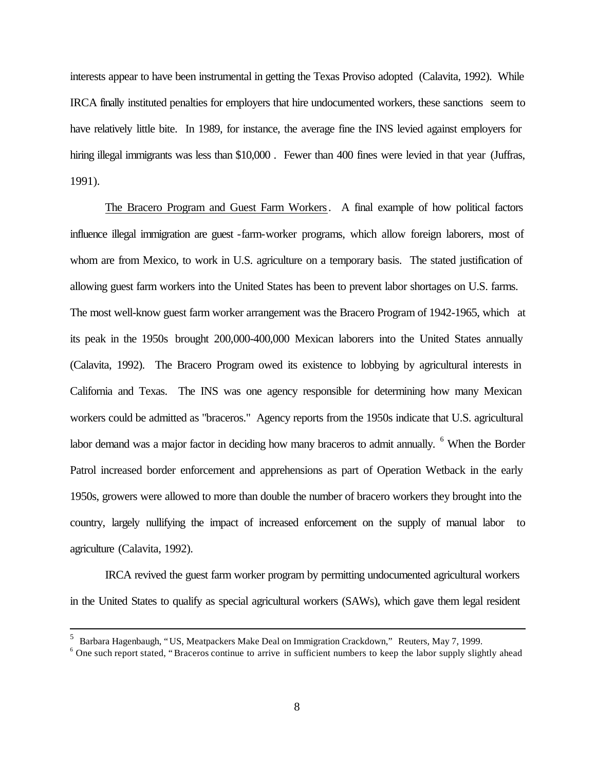interests appear to have been instrumental in getting the Texas Proviso adopted (Calavita, 1992). While IRCA finally instituted penalties for employers that hire undocumented workers, these sanctions seem to have relatively little bite. In 1989, for instance, the average fine the INS levied against employers for hiring illegal immigrants was less than \$10,000. Fewer than 400 fines were levied in that year (Juffras, 1991).

The Bracero Program and Guest Farm Workers. A final example of how political factors influence illegal immigration are guest -farm-worker programs, which allow foreign laborers, most of whom are from Mexico, to work in U.S. agriculture on a temporary basis. The stated justification of allowing guest farm workers into the United States has been to prevent labor shortages on U.S. farms. The most well-know guest farm worker arrangement was the Bracero Program of 1942-1965, which at its peak in the 1950s brought 200,000-400,000 Mexican laborers into the United States annually (Calavita, 1992). The Bracero Program owed its existence to lobbying by agricultural interests in California and Texas. The INS was one agency responsible for determining how many Mexican workers could be admitted as "braceros." Agency reports from the 1950s indicate that U.S. agricultural labor demand was a major factor in deciding how many braceros to admit annually. <sup>6</sup> When the Border Patrol increased border enforcement and apprehensions as part of Operation Wetback in the early 1950s, growers were allowed to more than double the number of bracero workers they brought into the country, largely nullifying the impact of increased enforcement on the supply of manual labor to agriculture (Calavita, 1992).

 IRCA revived the guest farm worker program by permitting undocumented agricultural workers in the United States to qualify as special agricultural workers (SAWs), which gave them legal resident

<sup>&</sup>lt;sup>5</sup> Barbara Hagenbaugh, "US, Meatpackers Make Deal on Immigration Crackdown," Reuters, May 7, 1999.

<sup>&</sup>lt;sup>6</sup> One such report stated, "Braceros continue to arrive in sufficient numbers to keep the labor supply slightly ahead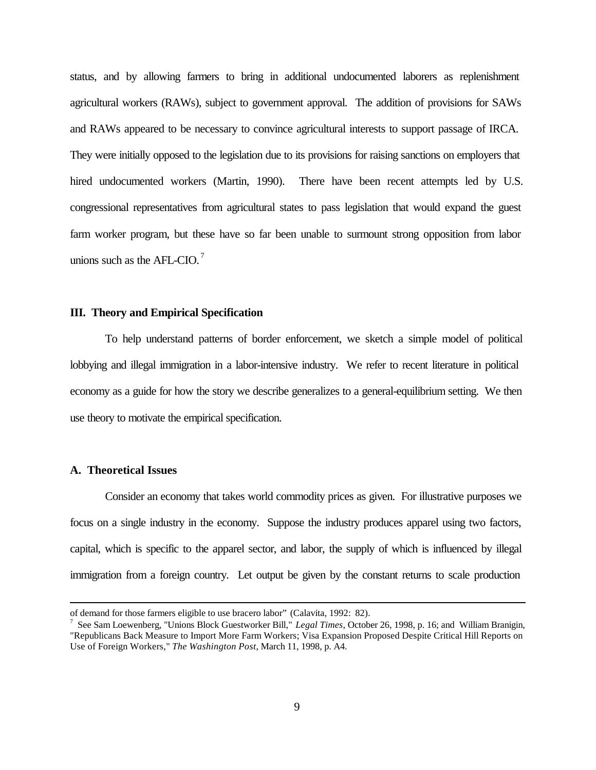status, and by allowing farmers to bring in additional undocumented laborers as replenishment agricultural workers (RAWs), subject to government approval. The addition of provisions for SAWs and RAWs appeared to be necessary to convince agricultural interests to support passage of IRCA. They were initially opposed to the legislation due to its provisions for raising sanctions on employers that hired undocumented workers (Martin, 1990). There have been recent attempts led by U.S. congressional representatives from agricultural states to pass legislation that would expand the guest farm worker program, but these have so far been unable to surmount strong opposition from labor unions such as the AFL-CIO. $^7$ 

#### **III. Theory and Empirical Specification**

To help understand patterns of border enforcement, we sketch a simple model of political lobbying and illegal immigration in a labor-intensive industry. We refer to recent literature in political economy as a guide for how the story we describe generalizes to a general-equilibrium setting. We then use theory to motivate the empirical specification.

#### **A. Theoretical Issues**

 $\overline{a}$ 

Consider an economy that takes world commodity prices as given. For illustrative purposes we focus on a single industry in the economy. Suppose the industry produces apparel using two factors, capital, which is specific to the apparel sector, and labor, the supply of which is influenced by illegal immigration from a foreign country. Let output be given by the constant returns to scale production

of demand for those farmers eligible to use bracero labor" (Calavita, 1992: 82).

<sup>7</sup> See Sam Loewenberg, "Unions Block Guestworker Bill," *Legal Times*, October 26, 1998, p. 16; and William Branigin, "Republicans Back Measure to Import More Farm Workers; Visa Expansion Proposed Despite Critical Hill Reports on Use of Foreign Workers," *The Washington Post*, March 11, 1998, p. A4.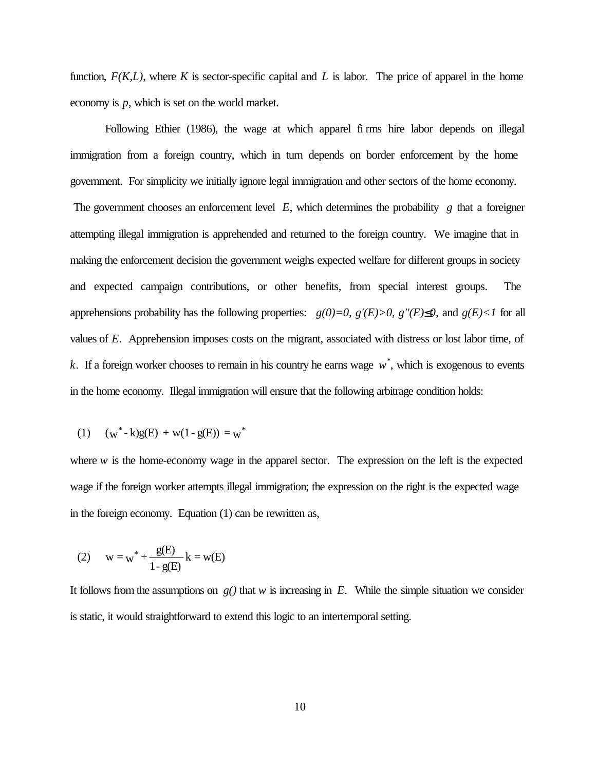function,  $F(K, L)$ , where K is sector-specific capital and L is labor. The price of apparel in the home economy is *p*, which is set on the world market.

Following Ethier (1986), the wage at which apparel fi rms hire labor depends on illegal immigration from a foreign country, which in turn depends on border enforcement by the home government. For simplicity we initially ignore legal immigration and other sectors of the home economy. The government chooses an enforcement level *E*, which determines the probability *g* that a foreigner attempting illegal immigration is apprehended and returned to the foreign country. We imagine that in making the enforcement decision the government weighs expected welfare for different groups in society and expected campaign contributions, or other benefits, from special interest groups. The apprehensions probability has the following properties:  $g(0)=0$ ,  $g'(E)>0$ ,  $g''(E)$  $\mathcal{L}$  $\mathcal{L}$ *n* and  $g(E)$  { $\mathcal{L}$ *i* for all values of *E*. Apprehension imposes costs on the migrant, associated with distress or lost labor time, of *k*. If a foreign worker chooses to remain in his country he earns wage *w \** , which is exogenous to events in the home economy. Illegal immigration will ensure that the following arbitrage condition holds:

(1) 
$$
(w^* - k)g(E) + w(1 - g(E)) = w^*
$$

where  $w$  is the home-economy wage in the apparel sector. The expression on the left is the expected wage if the foreign worker attempts illegal immigration; the expression on the right is the expected wage in the foreign economy. Equation (1) can be rewritten as,

(2) 
$$
w = w^* + \frac{g(E)}{1 - g(E)} k = w(E)
$$

It follows from the assumptions on  $g(t)$  that *w* is increasing in *E*. While the simple situation we consider is static, it would straightforward to extend this logic to an intertemporal setting.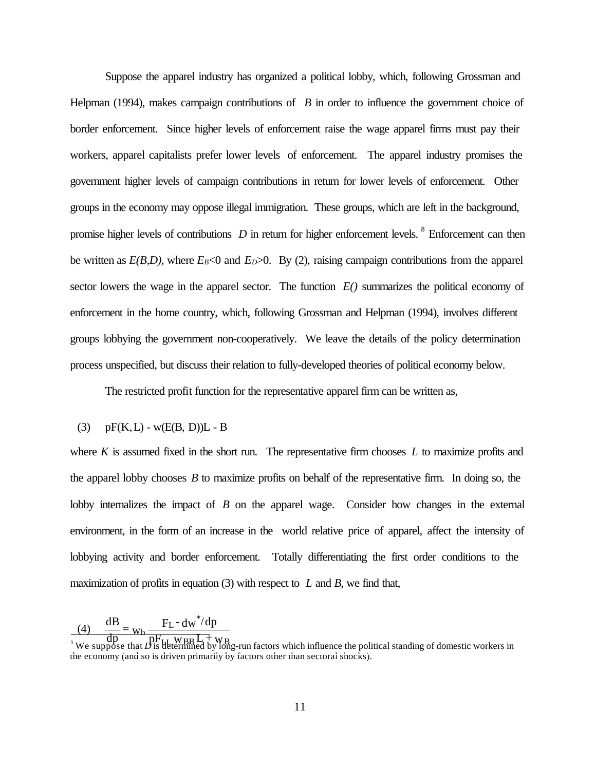Suppose the apparel industry has organized a political lobby, which, following Grossman and Helpman (1994), makes campaign contributions of *B* in order to influence the government choice of border enforcement. Since higher levels of enforcement raise the wage apparel firms must pay their workers, apparel capitalists prefer lower levels of enforcement. The apparel industry promises the government higher levels of campaign contributions in return for lower levels of enforcement. Other groups in the economy may oppose illegal immigration. These groups, which are left in the background, promise higher levels of contributions *D* in return for higher enforcement levels. <sup>8</sup> Enforcement can then be written as  $E(B,D)$ , where  $E_B<0$  and  $E_D>0$ . By (2), raising campaign contributions from the apparel sector lowers the wage in the apparel sector. The function  $E()$  summarizes the political economy of enforcement in the home country, which, following Grossman and Helpman (1994), involves different groups lobbying the government non-cooperatively. We leave the details of the policy determination process unspecified, but discuss their relation to fully-developed theories of political economy below.

The restricted profit function for the representative apparel firm can be written as,

#### (3)  $pF(K, L) - w(E(B, D))L - B$

where *K* is assumed fixed in the short run. The representative firm chooses *L* to maximize profits and the apparel lobby chooses *B* to maximize profits on behalf of the representative firm. In doing so, the lobby internalizes the impact of *B* on the apparel wage. Consider how changes in the external environment, in the form of an increase in the world relative price of apparel, affect the intensity of lobbying activity and border enforcement. Totally differentiating the first order conditions to the maximization of profits in equation (3) with respect to *L* and *B*, we find that,

 $\frac{dB}{dp} = \frac{F_L - dw^*/dp}{pF_H w_{BB}L + v}$ (4)  $\frac{dB}{dt}$  $h \frac{F_L - dw^*}{L}$ 

 $\frac{d\phi}{d\phi} = \frac{d\phi}{d\phi}$   $\frac{d\phi}{d\phi}$   $\frac{d\phi}{d\phi}$  is determined by long-run factors which influence the political standing of domestic workers in the economy (and so is driven primarily by factors other than sectoral shocks).  $\mu_{\rm thermal}$  W BB  $\rm{L}$  + W B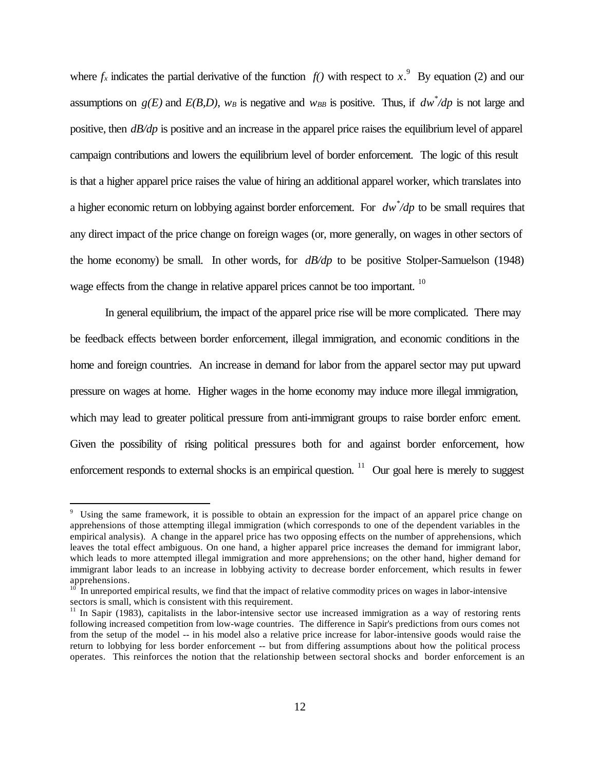where  $f_x$  indicates the partial derivative of the function  $f(x)$  with respect to  $x$ .<sup>9</sup> By equation (2) and our assumptions on  $g(E)$  and  $E(B,D)$ ,  $w_B$  is negative and  $w_{BB}$  is positive. Thus, if  $dw^2/dp$  is not large and positive, then *dB/dp* is positive and an increase in the apparel price raises the equilibrium level of apparel campaign contributions and lowers the equilibrium level of border enforcement. The logic of this result is that a higher apparel price raises the value of hiring an additional apparel worker, which translates into a higher economic return on lobbying against border enforcement. For *dw\* /dp* to be small requires that any direct impact of the price change on foreign wages (or, more generally, on wages in other sectors of the home economy) be small. In other words, for *dB/dp* to be positive Stolper-Samuelson (1948) wage effects from the change in relative apparel prices cannot be too important.<sup>10</sup>

In general equilibrium, the impact of the apparel price rise will be more complicated. There may be feedback effects between border enforcement, illegal immigration, and economic conditions in the home and foreign countries. An increase in demand for labor from the apparel sector may put upward pressure on wages at home. Higher wages in the home economy may induce more illegal immigration, which may lead to greater political pressure from anti-immigrant groups to raise border enforc ement. Given the possibility of rising political pressures both for and against border enforcement, how enforcement responds to external shocks is an empirical question. <sup>11</sup> Our goal here is merely to suggest

<sup>&</sup>lt;sup>9</sup> Using the same framework, it is possible to obtain an expression for the impact of an apparel price change on apprehensions of those attempting illegal immigration (which corresponds to one of the dependent variables in the empirical analysis). A change in the apparel price has two opposing effects on the number of apprehensions, which leaves the total effect ambiguous. On one hand, a higher apparel price increases the demand for immigrant labor, which leads to more attempted illegal immigration and more apprehensions; on the other hand, higher demand for immigrant labor leads to an increase in lobbying activity to decrease border enforcement, which results in fewer apprehensions.

<sup>10</sup> In unreported empirical results, we find that the impact of relative commodity prices on wages in labor-intensive sectors is small, which is consistent with this requirement.

 $11$  In Sapir (1983), capitalists in the labor-intensive sector use increased immigration as a way of restoring rents following increased competition from low-wage countries. The difference in Sapir's predictions from ours comes not from the setup of the model -- in his model also a relative price increase for labor-intensive goods would raise the return to lobbying for less border enforcement -- but from differing assumptions about how the political process operates. This reinforces the notion that the relationship between sectoral shocks and border enforcement is an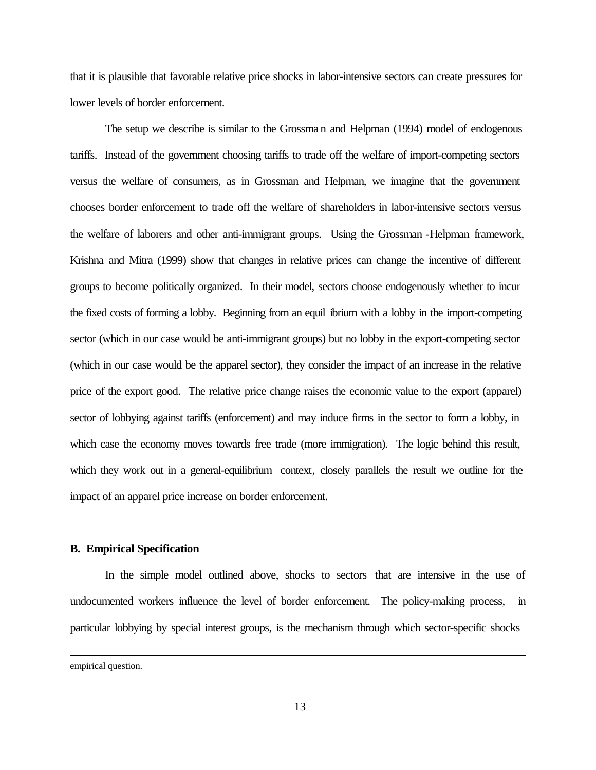that it is plausible that favorable relative price shocks in labor-intensive sectors can create pressures for lower levels of border enforcement.

The setup we describe is similar to the Grossma n and Helpman (1994) model of endogenous tariffs. Instead of the government choosing tariffs to trade off the welfare of import-competing sectors versus the welfare of consumers, as in Grossman and Helpman, we imagine that the government chooses border enforcement to trade off the welfare of shareholders in labor-intensive sectors versus the welfare of laborers and other anti-immigrant groups. Using the Grossman -Helpman framework, Krishna and Mitra (1999) show that changes in relative prices can change the incentive of different groups to become politically organized. In their model, sectors choose endogenously whether to incur the fixed costs of forming a lobby. Beginning from an equil ibrium with a lobby in the import-competing sector (which in our case would be anti-immigrant groups) but no lobby in the export-competing sector (which in our case would be the apparel sector), they consider the impact of an increase in the relative price of the export good. The relative price change raises the economic value to the export (apparel) sector of lobbying against tariffs (enforcement) and may induce firms in the sector to form a lobby, in which case the economy moves towards free trade (more immigration). The logic behind this result, which they work out in a general-equilibrium context, closely parallels the result we outline for the impact of an apparel price increase on border enforcement.

#### **B. Empirical Specification**

In the simple model outlined above, shocks to sectors that are intensive in the use of undocumented workers influence the level of border enforcement. The policy-making process, in particular lobbying by special interest groups, is the mechanism through which sector-specific shocks

empirical question.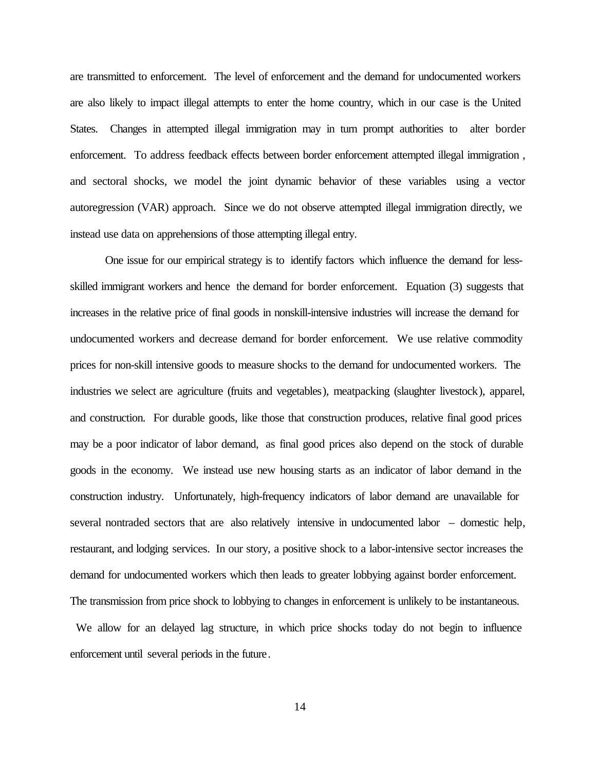are transmitted to enforcement. The level of enforcement and the demand for undocumented workers are also likely to impact illegal attempts to enter the home country, which in our case is the United States. Changes in attempted illegal immigration may in turn prompt authorities to alter border enforcement. To address feedback effects between border enforcement attempted illegal immigration , and sectoral shocks, we model the joint dynamic behavior of these variables using a vector autoregression (VAR) approach. Since we do not observe attempted illegal immigration directly, we instead use data on apprehensions of those attempting illegal entry.

One issue for our empirical strategy is to identify factors which influence the demand for lessskilled immigrant workers and hence the demand for border enforcement. Equation (3) suggests that increases in the relative price of final goods in nonskill-intensive industries will increase the demand for undocumented workers and decrease demand for border enforcement. We use relative commodity prices for non-skill intensive goods to measure shocks to the demand for undocumented workers. The industries we select are agriculture (fruits and vegetables), meatpacking (slaughter livestock), apparel, and construction. For durable goods, like those that construction produces, relative final good prices may be a poor indicator of labor demand, as final good prices also depend on the stock of durable goods in the economy. We instead use new housing starts as an indicator of labor demand in the construction industry. Unfortunately, high-frequency indicators of labor demand are unavailable for several nontraded sectors that are also relatively intensive in undocumented labor – domestic help, restaurant, and lodging services. In our story, a positive shock to a labor-intensive sector increases the demand for undocumented workers which then leads to greater lobbying against border enforcement. The transmission from price shock to lobbying to changes in enforcement is unlikely to be instantaneous.

 We allow for an delayed lag structure, in which price shocks today do not begin to influence enforcement until several periods in the future.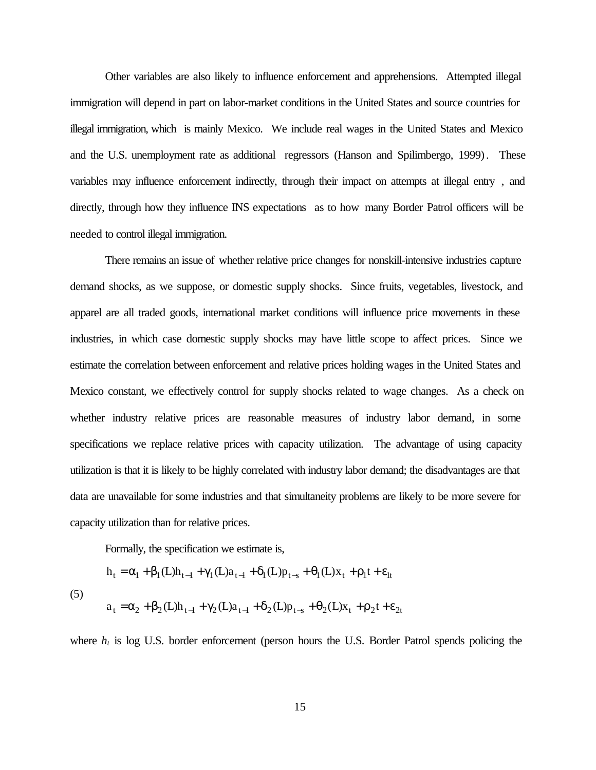Other variables are also likely to influence enforcement and apprehensions. Attempted illegal immigration will depend in part on labor-market conditions in the United States and source countries for illegal immigration, which is mainly Mexico. We include real wages in the United States and Mexico and the U.S. unemployment rate as additional regressors (Hanson and Spilimbergo, 1999). These variables may influence enforcement indirectly, through their impact on attempts at illegal entry , and directly, through how they influence INS expectations as to how many Border Patrol officers will be needed to control illegal immigration.

There remains an issue of whether relative price changes for nonskill-intensive industries capture demand shocks, as we suppose, or domestic supply shocks. Since fruits, vegetables, livestock, and apparel are all traded goods, international market conditions will influence price movements in these industries, in which case domestic supply shocks may have little scope to affect prices. Since we estimate the correlation between enforcement and relative prices holding wages in the United States and Mexico constant, we effectively control for supply shocks related to wage changes. As a check on whether industry relative prices are reasonable measures of industry labor demand, in some specifications we replace relative prices with capacity utilization. The advantage of using capacity utilization is that it is likely to be highly correlated with industry labor demand; the disadvantages are that data are unavailable for some industries and that simultaneity problems are likely to be more severe for capacity utilization than for relative prices.

Formally, the specification we estimate is,

(5)  
\n
$$
h_{t} = \alpha_{1} + \beta_{1}(L)h_{t-1} + \gamma_{1}(L)a_{t-1} + \delta_{1}(L)p_{t-s} + \theta_{1}(L)x_{t} + \rho_{1}t + \varepsilon_{lt}
$$
\n
$$
a_{t} = \alpha_{2} + \beta_{2}(L)h_{t-1} + \gamma_{2}(L)a_{t-1} + \delta_{2}(L)p_{t-s} + \theta_{2}(L)x_{t} + \rho_{2}t + \varepsilon_{2t}
$$

where  $h_t$  is log U.S. border enforcement (person hours the U.S. Border Patrol spends policing the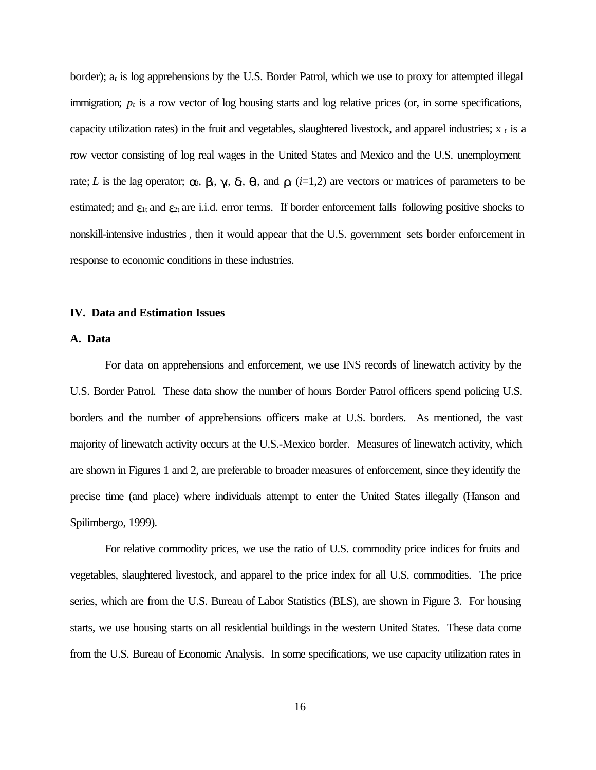border); a*t* is log apprehensions by the U.S. Border Patrol, which we use to proxy for attempted illegal immigration;  $p_t$  is a row vector of log housing starts and log relative prices (or, in some specifications, capacity utilization rates) in the fruit and vegetables, slaughtered livestock, and apparel industries; x *<sup>t</sup>* is a row vector consisting of log real wages in the United States and Mexico and the U.S. unemployment rate; L is the lag operator;  $a_i$ ,  $b_i$ ,  $g_j$ ,  $d_i$ ,  $q_j$ , and  $r_i$  (i=1,2) are vectors or matrices of parameters to be estimated; and  $\varepsilon_{1t}$  and  $\varepsilon_{2t}$  are i.i.d. error terms. If border enforcement falls following positive shocks to nonskill-intensive industries, then it would appear that the U.S. government sets border enforcement in response to economic conditions in these industries.

#### **IV. Data and Estimation Issues**

#### **A. Data**

For data on apprehensions and enforcement, we use INS records of linewatch activity by the U.S. Border Patrol. These data show the number of hours Border Patrol officers spend policing U.S. borders and the number of apprehensions officers make at U.S. borders. As mentioned, the vast majority of linewatch activity occurs at the U.S.-Mexico border. Measures of linewatch activity, which are shown in Figures 1 and 2, are preferable to broader measures of enforcement, since they identify the precise time (and place) where individuals attempt to enter the United States illegally (Hanson and Spilimbergo, 1999).

For relative commodity prices, we use the ratio of U.S. commodity price indices for fruits and vegetables, slaughtered livestock, and apparel to the price index for all U.S. commodities. The price series, which are from the U.S. Bureau of Labor Statistics (BLS), are shown in Figure 3. For housing starts, we use housing starts on all residential buildings in the western United States. These data come from the U.S. Bureau of Economic Analysis. In some specifications, we use capacity utilization rates in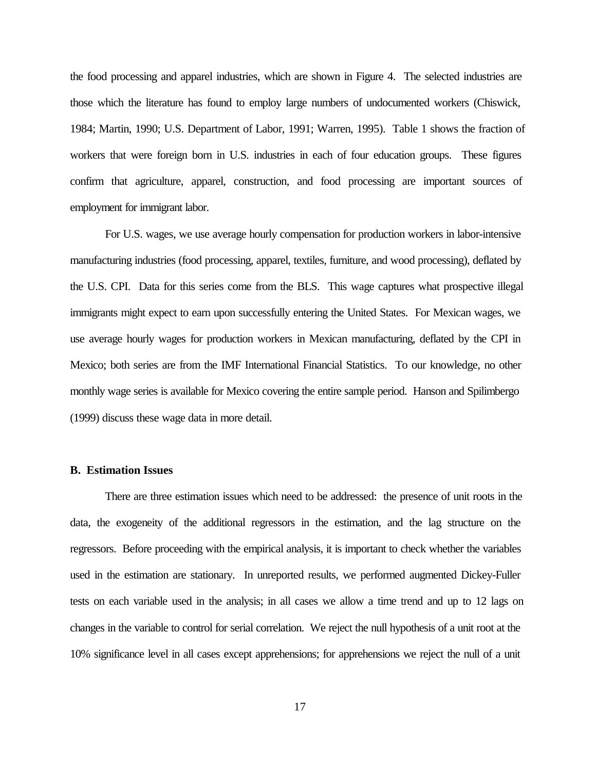the food processing and apparel industries, which are shown in Figure 4. The selected industries are those which the literature has found to employ large numbers of undocumented workers (Chiswick, 1984; Martin, 1990; U.S. Department of Labor, 1991; Warren, 1995). Table 1 shows the fraction of workers that were foreign born in U.S. industries in each of four education groups. These figures confirm that agriculture, apparel, construction, and food processing are important sources of employment for immigrant labor.

For U.S. wages, we use average hourly compensation for production workers in labor-intensive manufacturing industries (food processing, apparel, textiles, furniture, and wood processing), deflated by the U.S. CPI. Data for this series come from the BLS. This wage captures what prospective illegal immigrants might expect to earn upon successfully entering the United States. For Mexican wages, we use average hourly wages for production workers in Mexican manufacturing, deflated by the CPI in Mexico; both series are from the IMF International Financial Statistics. To our knowledge, no other monthly wage series is available for Mexico covering the entire sample period. Hanson and Spilimbergo (1999) discuss these wage data in more detail.

#### **B. Estimation Issues**

There are three estimation issues which need to be addressed: the presence of unit roots in the data, the exogeneity of the additional regressors in the estimation, and the lag structure on the regressors. Before proceeding with the empirical analysis, it is important to check whether the variables used in the estimation are stationary. In unreported results, we performed augmented Dickey-Fuller tests on each variable used in the analysis; in all cases we allow a time trend and up to 12 lags on changes in the variable to control for serial correlation. We reject the null hypothesis of a unit root at the 10% significance level in all cases except apprehensions; for apprehensions we reject the null of a unit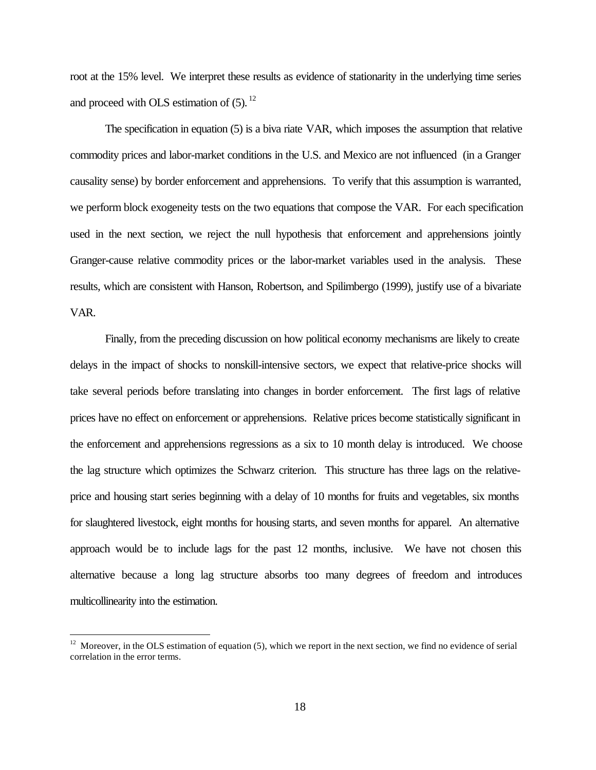root at the 15% level. We interpret these results as evidence of stationarity in the underlying time series and proceed with OLS estimation of  $(5)$ .  $^{12}$ 

The specification in equation (5) is a biva riate VAR, which imposes the assumption that relative commodity prices and labor-market conditions in the U.S. and Mexico are not influenced (in a Granger causality sense) by border enforcement and apprehensions. To verify that this assumption is warranted, we perform block exogeneity tests on the two equations that compose the VAR. For each specification used in the next section, we reject the null hypothesis that enforcement and apprehensions jointly Granger-cause relative commodity prices or the labor-market variables used in the analysis. These results, which are consistent with Hanson, Robertson, and Spilimbergo (1999), justify use of a bivariate VAR.

Finally, from the preceding discussion on how political economy mechanisms are likely to create delays in the impact of shocks to nonskill-intensive sectors, we expect that relative-price shocks will take several periods before translating into changes in border enforcement. The first lags of relative prices have no effect on enforcement or apprehensions. Relative prices become statistically significant in the enforcement and apprehensions regressions as a six to 10 month delay is introduced. We choose the lag structure which optimizes the Schwarz criterion. This structure has three lags on the relativeprice and housing start series beginning with a delay of 10 months for fruits and vegetables, six months for slaughtered livestock, eight months for housing starts, and seven months for apparel. An alternative approach would be to include lags for the past 12 months, inclusive. We have not chosen this alternative because a long lag structure absorbs too many degrees of freedom and introduces multicollinearity into the estimation.

 $12$  Moreover, in the OLS estimation of equation (5), which we report in the next section, we find no evidence of serial correlation in the error terms.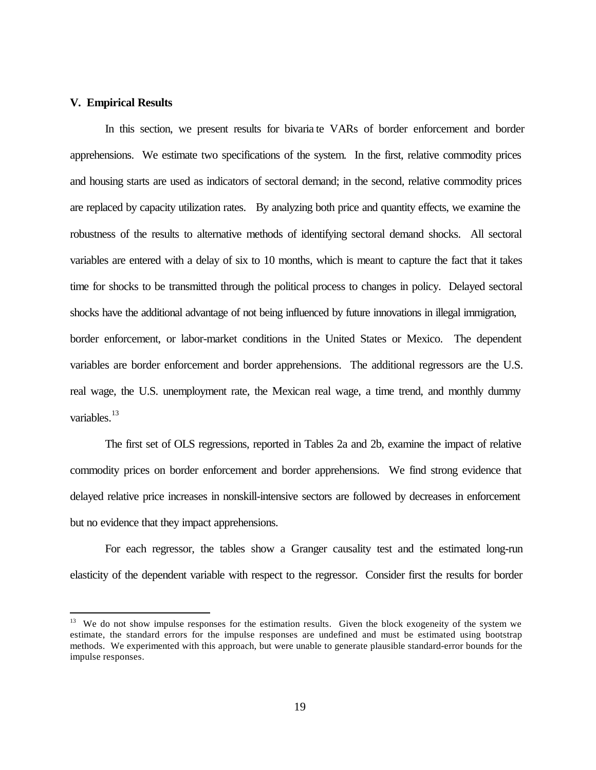#### **V. Empirical Results**

 $\overline{a}$ 

In this section, we present results for bivaria te VARs of border enforcement and border apprehensions. We estimate two specifications of the system. In the first, relative commodity prices and housing starts are used as indicators of sectoral demand; in the second, relative commodity prices are replaced by capacity utilization rates. By analyzing both price and quantity effects, we examine the robustness of the results to alternative methods of identifying sectoral demand shocks. All sectoral variables are entered with a delay of six to 10 months, which is meant to capture the fact that it takes time for shocks to be transmitted through the political process to changes in policy. Delayed sectoral shocks have the additional advantage of not being influenced by future innovations in illegal immigration, border enforcement, or labor-market conditions in the United States or Mexico. The dependent variables are border enforcement and border apprehensions. The additional regressors are the U.S. real wage, the U.S. unemployment rate, the Mexican real wage, a time trend, and monthly dummy variables.<sup>13</sup>

The first set of OLS regressions, reported in Tables 2a and 2b, examine the impact of relative commodity prices on border enforcement and border apprehensions. We find strong evidence that delayed relative price increases in nonskill-intensive sectors are followed by decreases in enforcement but no evidence that they impact apprehensions.

For each regressor, the tables show a Granger causality test and the estimated long-run elasticity of the dependent variable with respect to the regressor. Consider first the results for border

<sup>&</sup>lt;sup>13</sup> We do not show impulse responses for the estimation results. Given the block exogeneity of the system we estimate, the standard errors for the impulse responses are undefined and must be estimated using bootstrap methods. We experimented with this approach, but were unable to generate plausible standard-error bounds for the impulse responses.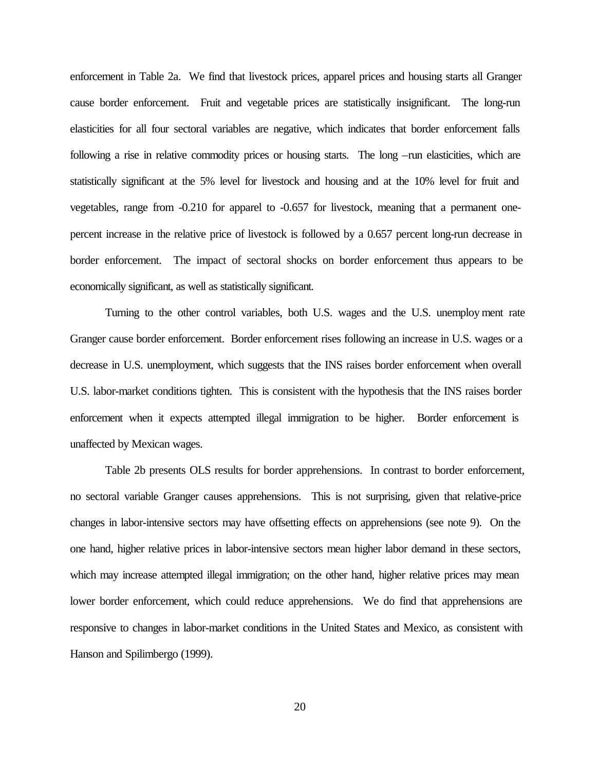enforcement in Table 2a. We find that livestock prices, apparel prices and housing starts all Granger cause border enforcement. Fruit and vegetable prices are statistically insignificant. The long-run elasticities for all four sectoral variables are negative, which indicates that border enforcement falls following a rise in relative commodity prices or housing starts. The long –run elasticities, which are statistically significant at the 5% level for livestock and housing and at the 10% level for fruit and vegetables, range from -0.210 for apparel to -0.657 for livestock, meaning that a permanent onepercent increase in the relative price of livestock is followed by a 0.657 percent long-run decrease in border enforcement. The impact of sectoral shocks on border enforcement thus appears to be economically significant, as well as statistically significant.

Turning to the other control variables, both U.S. wages and the U.S. unemploy ment rate Granger cause border enforcement. Border enforcement rises following an increase in U.S. wages or a decrease in U.S. unemployment, which suggests that the INS raises border enforcement when overall U.S. labor-market conditions tighten. This is consistent with the hypothesis that the INS raises border enforcement when it expects attempted illegal immigration to be higher. Border enforcement is unaffected by Mexican wages.

Table 2b presents OLS results for border apprehensions. In contrast to border enforcement, no sectoral variable Granger causes apprehensions. This is not surprising, given that relative-price changes in labor-intensive sectors may have offsetting effects on apprehensions (see note 9). On the one hand, higher relative prices in labor-intensive sectors mean higher labor demand in these sectors, which may increase attempted illegal immigration; on the other hand, higher relative prices may mean lower border enforcement, which could reduce apprehensions. We do find that apprehensions are responsive to changes in labor-market conditions in the United States and Mexico, as consistent with Hanson and Spilimbergo (1999).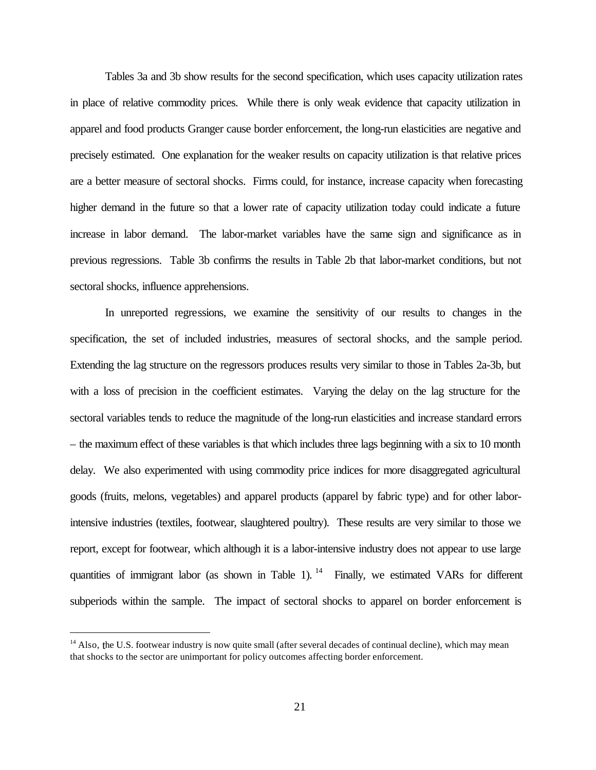Tables 3a and 3b show results for the second specification, which uses capacity utilization rates in place of relative commodity prices. While there is only weak evidence that capacity utilization in apparel and food products Granger cause border enforcement, the long-run elasticities are negative and precisely estimated. One explanation for the weaker results on capacity utilization is that relative prices are a better measure of sectoral shocks. Firms could, for instance, increase capacity when forecasting higher demand in the future so that a lower rate of capacity utilization today could indicate a future increase in labor demand. The labor-market variables have the same sign and significance as in previous regressions. Table 3b confirms the results in Table 2b that labor-market conditions, but not sectoral shocks, influence apprehensions.

In unreported regressions, we examine the sensitivity of our results to changes in the specification, the set of included industries, measures of sectoral shocks, and the sample period. Extending the lag structure on the regressors produces results very similar to those in Tables 2a-3b, but with a loss of precision in the coefficient estimates. Varying the delay on the lag structure for the sectoral variables tends to reduce the magnitude of the long-run elasticities and increase standard errors – the maximum effect of these variables is that which includes three lags beginning with a six to 10 month delay. We also experimented with using commodity price indices for more disaggregated agricultural goods (fruits, melons, vegetables) and apparel products (apparel by fabric type) and for other laborintensive industries (textiles, footwear, slaughtered poultry). These results are very similar to those we report, except for footwear, which although it is a labor-intensive industry does not appear to use large quantities of immigrant labor (as shown in Table 1). <sup>14</sup> Finally, we estimated VARs for different subperiods within the sample. The impact of sectoral shocks to apparel on border enforcement is

<sup>&</sup>lt;sup>14</sup> Also, the U.S. footwear industry is now quite small (after several decades of continual decline), which may mean that shocks to the sector are unimportant for policy outcomes affecting border enforcement.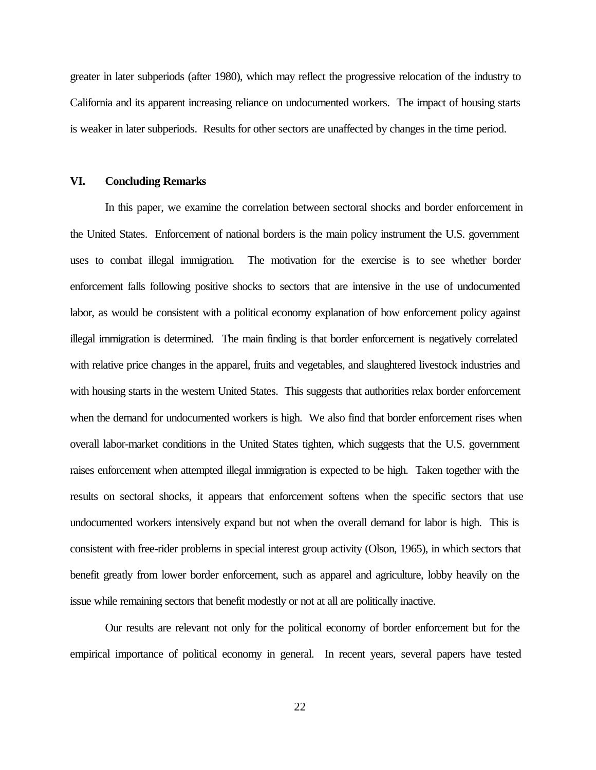greater in later subperiods (after 1980), which may reflect the progressive relocation of the industry to California and its apparent increasing reliance on undocumented workers. The impact of housing starts is weaker in later subperiods. Results for other sectors are unaffected by changes in the time period.

#### **VI. Concluding Remarks**

In this paper, we examine the correlation between sectoral shocks and border enforcement in the United States. Enforcement of national borders is the main policy instrument the U.S. government uses to combat illegal immigration. The motivation for the exercise is to see whether border enforcement falls following positive shocks to sectors that are intensive in the use of undocumented labor, as would be consistent with a political economy explanation of how enforcement policy against illegal immigration is determined. The main finding is that border enforcement is negatively correlated with relative price changes in the apparel, fruits and vegetables, and slaughtered livestock industries and with housing starts in the western United States. This suggests that authorities relax border enforcement when the demand for undocumented workers is high. We also find that border enforcement rises when overall labor-market conditions in the United States tighten, which suggests that the U.S. government raises enforcement when attempted illegal immigration is expected to be high. Taken together with the results on sectoral shocks, it appears that enforcement softens when the specific sectors that use undocumented workers intensively expand but not when the overall demand for labor is high. This is consistent with free-rider problems in special interest group activity (Olson, 1965), in which sectors that benefit greatly from lower border enforcement, such as apparel and agriculture, lobby heavily on the issue while remaining sectors that benefit modestly or not at all are politically inactive.

Our results are relevant not only for the political economy of border enforcement but for the empirical importance of political economy in general. In recent years, several papers have tested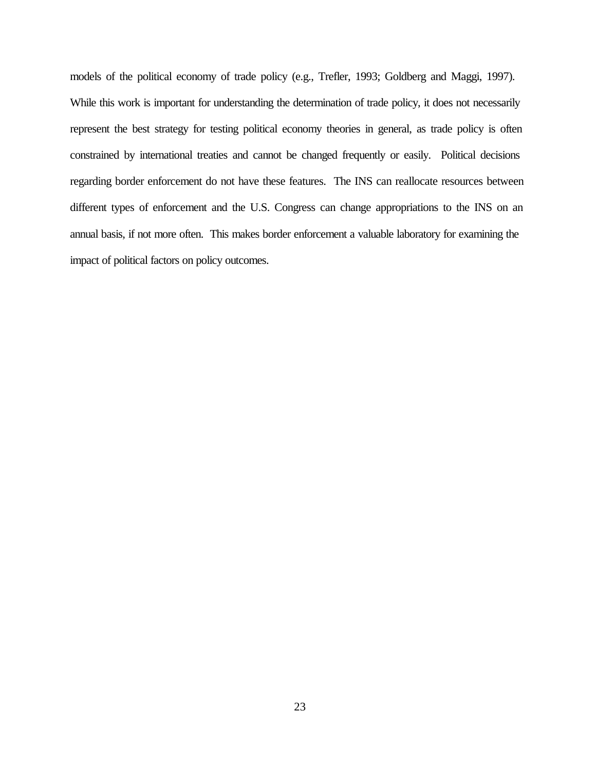models of the political economy of trade policy (e.g., Trefler, 1993; Goldberg and Maggi, 1997). While this work is important for understanding the determination of trade policy, it does not necessarily represent the best strategy for testing political economy theories in general, as trade policy is often constrained by international treaties and cannot be changed frequently or easily. Political decisions regarding border enforcement do not have these features. The INS can reallocate resources between different types of enforcement and the U.S. Congress can change appropriations to the INS on an annual basis, if not more often. This makes border enforcement a valuable laboratory for examining the impact of political factors on policy outcomes.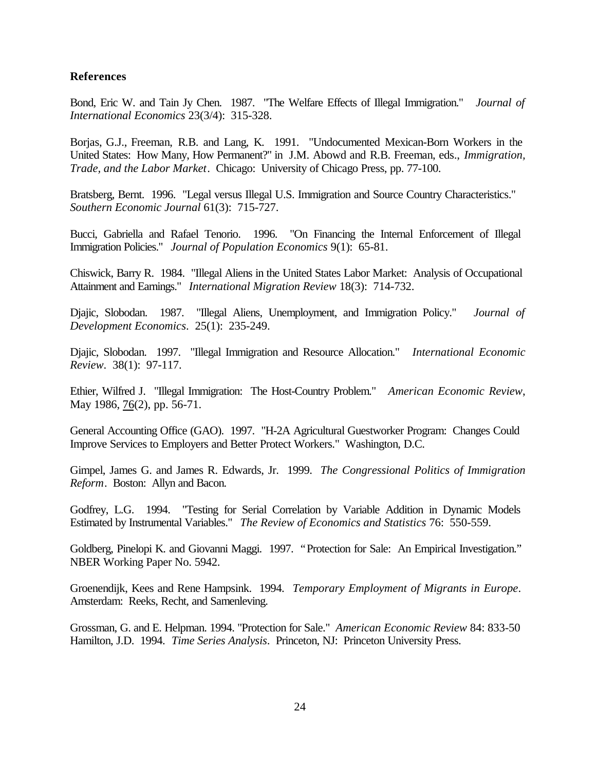#### **References**

Bond, Eric W. and Tain Jy Chen. 1987. "The Welfare Effects of Illegal Immigration." *Journal of International Economics* 23(3/4): 315-328.

Borjas, G.J., Freeman, R.B. and Lang, K. 1991. "Undocumented Mexican-Born Workers in the United States: How Many, How Permanent?" in J.M. Abowd and R.B. Freeman, eds., *Immigration, Trade, and the Labor Market*. Chicago: University of Chicago Press, pp. 77-100.

Bratsberg, Bernt. 1996. "Legal versus Illegal U.S. Immigration and Source Country Characteristics." *Southern Economic Journal* 61(3): 715-727.

Bucci, Gabriella and Rafael Tenorio. 1996. "On Financing the Internal Enforcement of Illegal Immigration Policies." *Journal of Population Economics* 9(1): 65-81.

Chiswick, Barry R. 1984. "Illegal Aliens in the United States Labor Market: Analysis of Occupational Attainment and Earnings." *International Migration Review* 18(3): 714-732.

Djajic, Slobodan. 1987. "Illegal Aliens, Unemployment, and Immigration Policy." *Journal of Development Economics*. 25(1): 235-249.

Djajic, Slobodan. 1997. "Illegal Immigration and Resource Allocation." *International Economic Review*. 38(1): 97-117.

Ethier, Wilfred J. "Illegal Immigration: The Host-Country Problem." *American Economic Review*, May 1986, 76(2), pp. 56-71.

General Accounting Office (GAO). 1997. "H-2A Agricultural Guestworker Program: Changes Could Improve Services to Employers and Better Protect Workers." Washington, D.C.

Gimpel, James G. and James R. Edwards, Jr. 1999. *The Congressional Politics of Immigration Reform*. Boston: Allyn and Bacon.

Godfrey, L.G. 1994. "Testing for Serial Correlation by Variable Addition in Dynamic Models Estimated by Instrumental Variables." *The Review of Economics and Statistics* 76: 550-559.

Goldberg, Pinelopi K. and Giovanni Maggi. 1997. "Protection for Sale: An Empirical Investigation." NBER Working Paper No. 5942.

Groenendijk, Kees and Rene Hampsink. 1994. *Temporary Employment of Migrants in Europe*. Amsterdam: Reeks, Recht, and Samenleving.

Grossman, G. and E. Helpman. 1994. "Protection for Sale." *American Economic Review* 84: 833-50 Hamilton, J.D. 1994. *Time Series Analysis*. Princeton, NJ: Princeton University Press.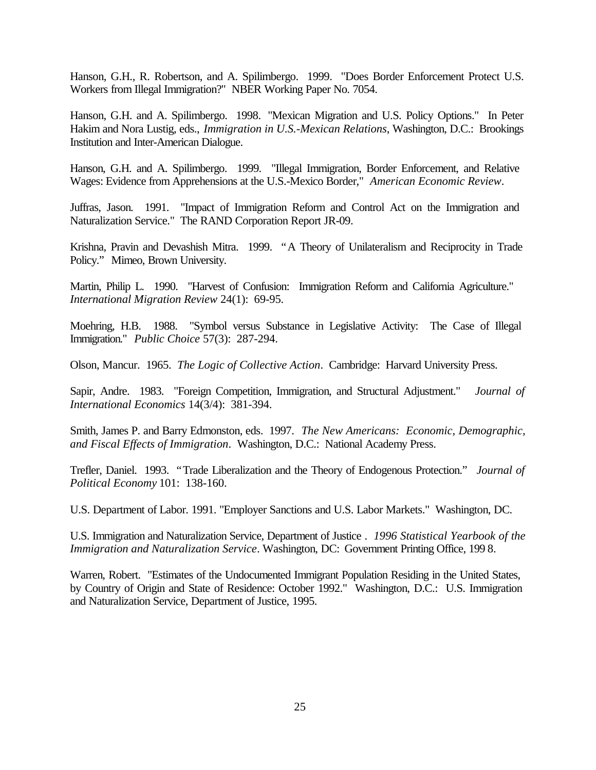Hanson, G.H., R. Robertson, and A. Spilimbergo. 1999. "Does Border Enforcement Protect U.S. Workers from Illegal Immigration?" NBER Working Paper No. 7054.

Hanson, G.H. and A. Spilimbergo. 1998. "Mexican Migration and U.S. Policy Options." In Peter Hakim and Nora Lustig, eds., *Immigration in U.S.-Mexican Relations*, Washington, D.C.: Brookings Institution and Inter-American Dialogue.

Hanson, G.H. and A. Spilimbergo. 1999. "Illegal Immigration, Border Enforcement, and Relative Wages: Evidence from Apprehensions at the U.S.-Mexico Border," *American Economic Review*.

Juffras, Jason. 1991. "Impact of Immigration Reform and Control Act on the Immigration and Naturalization Service." The RAND Corporation Report JR-09.

Krishna, Pravin and Devashish Mitra. 1999. "A Theory of Unilateralism and Reciprocity in Trade Policy." Mimeo, Brown University.

Martin, Philip L. 1990. "Harvest of Confusion: Immigration Reform and California Agriculture." *International Migration Review* 24(1): 69-95.

Moehring, H.B. 1988. "Symbol versus Substance in Legislative Activity: The Case of Illegal Immigration." *Public Choice* 57(3): 287-294.

Olson, Mancur. 1965. *The Logic of Collective Action*. Cambridge: Harvard University Press.

Sapir, Andre. 1983. "Foreign Competition, Immigration, and Structural Adjustment." *Journal of International Economics* 14(3/4): 381-394.

Smith, James P. and Barry Edmonston, eds. 1997. *The New Americans: Economic, Demographic, and Fiscal Effects of Immigration*. Washington, D.C.: National Academy Press.

Trefler, Daniel. 1993. "Trade Liberalization and the Theory of Endogenous Protection." *Journal of Political Economy* 101: 138-160.

U.S. Department of Labor. 1991. "Employer Sanctions and U.S. Labor Markets." Washington, DC.

U.S. Immigration and Naturalization Service, Department of Justice *. 1996 Statistical Yearbook of the Immigration and Naturalization Service*. Washington, DC: Government Printing Office, 199 8.

Warren, Robert. "Estimates of the Undocumented Immigrant Population Residing in the United States, by Country of Origin and State of Residence: October 1992." Washington, D.C.: U.S. Immigration and Naturalization Service, Department of Justice, 1995.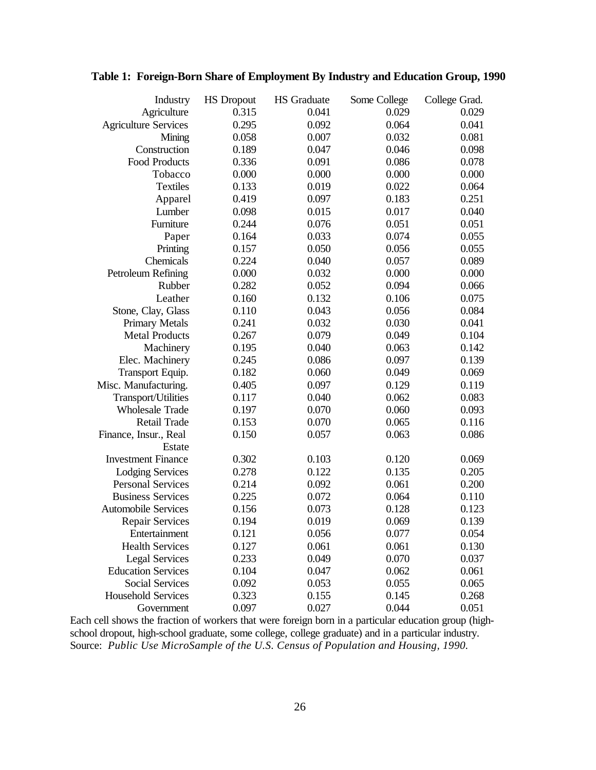| Industry                    | <b>HS</b> Dropout | <b>HS</b> Graduate | Some College | College Grad. |
|-----------------------------|-------------------|--------------------|--------------|---------------|
| Agriculture                 | 0.315             | 0.041              | 0.029        | 0.029         |
| <b>Agriculture Services</b> | 0.295             | 0.092              | 0.064        | 0.041         |
| Mining                      | 0.058             | 0.007              | 0.032        | 0.081         |
| Construction                | 0.189             | 0.047              | 0.046        | 0.098         |
| Food Products               | 0.336             | 0.091              | 0.086        | 0.078         |
| Tobacco                     | 0.000             | 0.000              | 0.000        | 0.000         |
| <b>Textiles</b>             | 0.133             | 0.019              | 0.022        | 0.064         |
| Apparel                     | 0.419             | 0.097              | 0.183        | 0.251         |
| Lumber                      | 0.098             | 0.015              | 0.017        | 0.040         |
| Furniture                   | 0.244             | 0.076              | 0.051        | 0.051         |
| Paper                       | 0.164             | 0.033              | 0.074        | 0.055         |
| Printing                    | 0.157             | 0.050              | 0.056        | 0.055         |
| Chemicals                   | 0.224             | 0.040              | 0.057        | 0.089         |
| Petroleum Refining          | 0.000             | 0.032              | 0.000        | 0.000         |
| Rubber                      | 0.282             | 0.052              | 0.094        | 0.066         |
| Leather                     | 0.160             | 0.132              | 0.106        | 0.075         |
| Stone, Clay, Glass          | 0.110             | 0.043              | 0.056        | 0.084         |
| <b>Primary Metals</b>       | 0.241             | 0.032              | 0.030        | 0.041         |
| <b>Metal Products</b>       | 0.267             | 0.079              | 0.049        | 0.104         |
| Machinery                   | 0.195             | 0.040              | 0.063        | 0.142         |
| Elec. Machinery             | 0.245             | 0.086              | 0.097        | 0.139         |
| Transport Equip.            | 0.182             | 0.060              | 0.049        | 0.069         |
| Misc. Manufacturing.        | 0.405             | 0.097              | 0.129        | 0.119         |
| Transport/Utilities         | 0.117             | 0.040              | 0.062        | 0.083         |
| <b>Wholesale Trade</b>      | 0.197             | 0.070              | 0.060        | 0.093         |
| Retail Trade                | 0.153             | 0.070              | 0.065        | 0.116         |
| Finance, Insur., Real       | 0.150             | 0.057              | 0.063        | 0.086         |
| Estate                      |                   |                    |              |               |
| <b>Investment Finance</b>   | 0.302             | 0.103              | 0.120        | 0.069         |
| <b>Lodging Services</b>     | 0.278             | 0.122              | 0.135        | 0.205         |
| <b>Personal Services</b>    | 0.214             | 0.092              | 0.061        | 0.200         |
| <b>Business Services</b>    | 0.225             | 0.072              | 0.064        | 0.110         |
| <b>Automobile Services</b>  | 0.156             | 0.073              | 0.128        | 0.123         |
| <b>Repair Services</b>      | 0.194             | 0.019              | 0.069        | 0.139         |
| Entertainment               | 0.121             | 0.056              | 0.077        | 0.054         |
| <b>Health Services</b>      | 0.127             | 0.061              | 0.061        | 0.130         |
| <b>Legal Services</b>       | 0.233             | 0.049              | 0.070        | 0.037         |
| <b>Education Services</b>   | 0.104             | 0.047              | 0.062        | 0.061         |
| <b>Social Services</b>      | 0.092             | 0.053              | 0.055        | 0.065         |
| <b>Household Services</b>   | 0.323             | 0.155              | 0.145        | 0.268         |
| Government                  | 0.097             | 0.027              | 0.044        | 0.051         |

### **Table 1: Foreign-Born Share of Employment By Industry and Education Group, 1990**

Each cell shows the fraction of workers that were foreign born in a particular education group (highschool dropout, high-school graduate, some college, college graduate) and in a particular industry. Source: *Public Use MicroSample of the U.S. Census of Population and Housing, 1990.*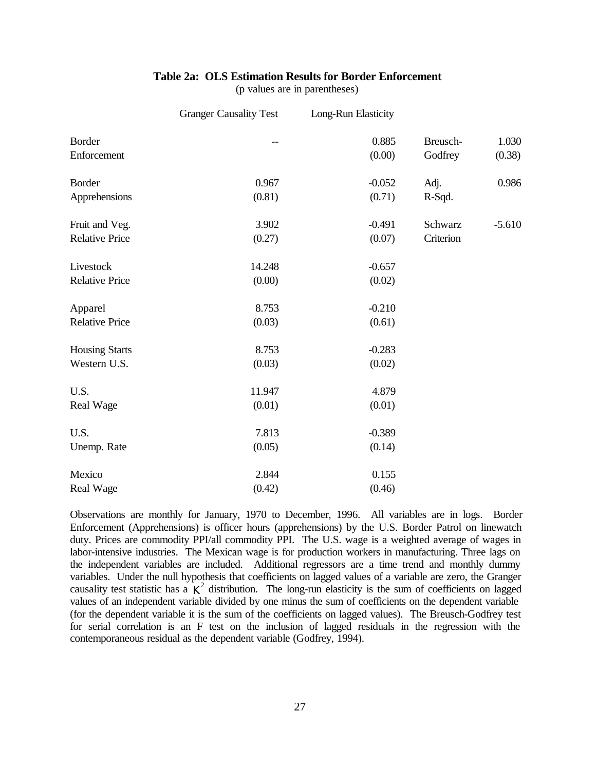#### **Table 2a: OLS Estimation Results for Border Enforcement**

(p values are in parentheses)

|                                         | <b>Granger Causality Test</b> | Long-Run Elasticity |                      |                 |
|-----------------------------------------|-------------------------------|---------------------|----------------------|-----------------|
| Border<br>Enforcement                   |                               | 0.885<br>(0.00)     | Breusch-<br>Godfrey  | 1.030<br>(0.38) |
| Border<br>Apprehensions                 | 0.967<br>(0.81)               | $-0.052$<br>(0.71)  | Adj.<br>R-Sqd.       | 0.986           |
| Fruit and Veg.<br><b>Relative Price</b> | 3.902<br>(0.27)               | $-0.491$<br>(0.07)  | Schwarz<br>Criterion | $-5.610$        |
| Livestock<br><b>Relative Price</b>      | 14.248<br>(0.00)              | $-0.657$<br>(0.02)  |                      |                 |
| Apparel<br><b>Relative Price</b>        | 8.753<br>(0.03)               | $-0.210$<br>(0.61)  |                      |                 |
| <b>Housing Starts</b><br>Western U.S.   | 8.753<br>(0.03)               | $-0.283$<br>(0.02)  |                      |                 |
| U.S.<br>Real Wage                       | 11.947<br>(0.01)              | 4.879<br>(0.01)     |                      |                 |
| U.S.<br>Unemp. Rate                     | 7.813<br>(0.05)               | $-0.389$<br>(0.14)  |                      |                 |
| Mexico<br>Real Wage                     | 2.844<br>(0.42)               | 0.155<br>(0.46)     |                      |                 |

Observations are monthly for January, 1970 to December, 1996. All variables are in logs. Border Enforcement (Apprehensions) is officer hours (apprehensions) by the U.S. Border Patrol on linewatch duty. Prices are commodity PPI/all commodity PPI. The U.S. wage is a weighted average of wages in labor-intensive industries. The Mexican wage is for production workers in manufacturing. Three lags on the independent variables are included. Additional regressors are a time trend and monthly dummy variables. Under the null hypothesis that coefficients on lagged values of a variable are zero, the Granger causality test statistic has a  $K^2$  distribution. The long-run elasticity is the sum of coefficients on lagged values of an independent variable divided by one minus the sum of coefficients on the dependent variable (for the dependent variable it is the sum of the coefficients on lagged values). The Breusch-Godfrey test for serial correlation is an F test on the inclusion of lagged residuals in the regression with the contemporaneous residual as the dependent variable (Godfrey, 1994).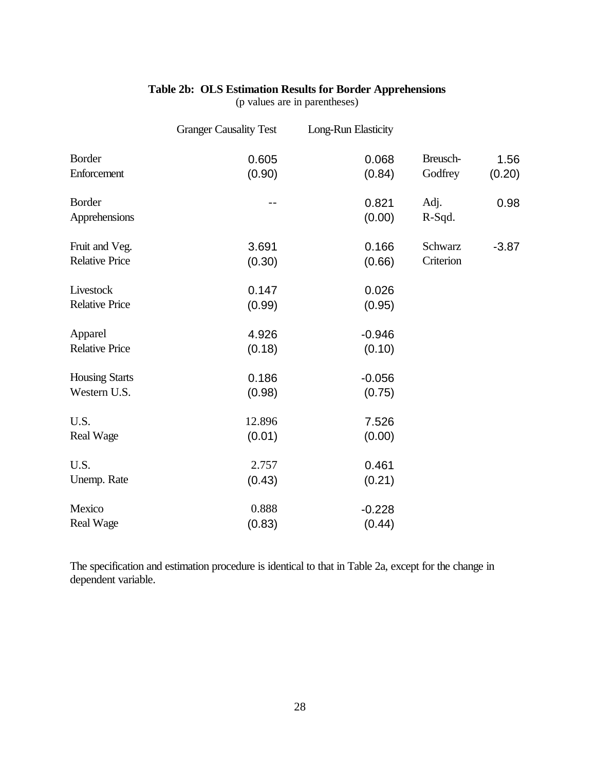# **Table 2b: OLS Estimation Results for Border Apprehensions**

(p values are in parentheses)

|                       | <b>Granger Causality Test</b> | Long-Run Elasticity |           |         |
|-----------------------|-------------------------------|---------------------|-----------|---------|
| <b>Border</b>         | 0.605                         | 0.068               | Breusch-  | 1.56    |
| Enforcement           | (0.90)                        | (0.84)              | Godfrey   | (0.20)  |
| <b>Border</b>         | $-1$                          | 0.821               | Adj.      | 0.98    |
| Apprehensions         |                               | (0.00)              | R-Sqd.    |         |
| Fruit and Veg.        | 3.691                         | 0.166               | Schwarz   | $-3.87$ |
| <b>Relative Price</b> | (0.30)                        | (0.66)              | Criterion |         |
| Livestock             | 0.147                         | 0.026               |           |         |
| <b>Relative Price</b> | (0.99)                        | (0.95)              |           |         |
| Apparel               | 4.926                         | $-0.946$            |           |         |
| <b>Relative Price</b> | (0.18)                        | (0.10)              |           |         |
| <b>Housing Starts</b> | 0.186                         | $-0.056$            |           |         |
| Western U.S.          | (0.98)                        | (0.75)              |           |         |
| U.S.                  | 12.896                        | 7.526               |           |         |
| <b>Real Wage</b>      | (0.01)                        | (0.00)              |           |         |
| U.S.                  | 2.757                         | 0.461               |           |         |
| Unemp. Rate           | (0.43)                        | (0.21)              |           |         |
| Mexico                | 0.888                         | $-0.228$            |           |         |
| <b>Real Wage</b>      | (0.83)                        | (0.44)              |           |         |

The specification and estimation procedure is identical to that in Table 2a, except for the change in dependent variable.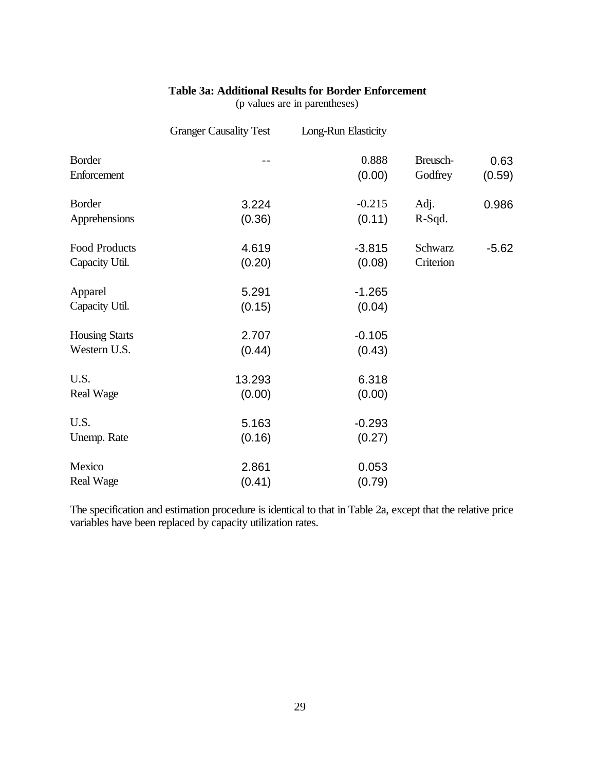#### **Table 3a: Additional Results for Border Enforcement**

(p values are in parentheses)

|                                       | <b>Granger Causality Test</b> | Long-Run Elasticity |                      |                |
|---------------------------------------|-------------------------------|---------------------|----------------------|----------------|
| <b>Border</b><br>Enforcement          |                               | 0.888<br>(0.00)     | Breusch-<br>Godfrey  | 0.63<br>(0.59) |
| <b>Border</b><br>Apprehensions        | 3.224<br>(0.36)               | $-0.215$<br>(0.11)  | Adj.<br>R-Sqd.       | 0.986          |
| Food Products<br>Capacity Util.       | 4.619<br>(0.20)               | $-3.815$<br>(0.08)  | Schwarz<br>Criterion | $-5.62$        |
| Apparel<br>Capacity Util.             | 5.291<br>(0.15)               | $-1.265$<br>(0.04)  |                      |                |
| <b>Housing Starts</b><br>Western U.S. | 2.707<br>(0.44)               | $-0.105$<br>(0.43)  |                      |                |
| U.S.<br><b>Real Wage</b>              | 13.293<br>(0.00)              | 6.318<br>(0.00)     |                      |                |
| U.S.<br>Unemp. Rate                   | 5.163<br>(0.16)               | $-0.293$<br>(0.27)  |                      |                |
| Mexico<br><b>Real Wage</b>            | 2.861<br>(0.41)               | 0.053<br>(0.79)     |                      |                |

The specification and estimation procedure is identical to that in Table 2a, except that the relative price variables have been replaced by capacity utilization rates.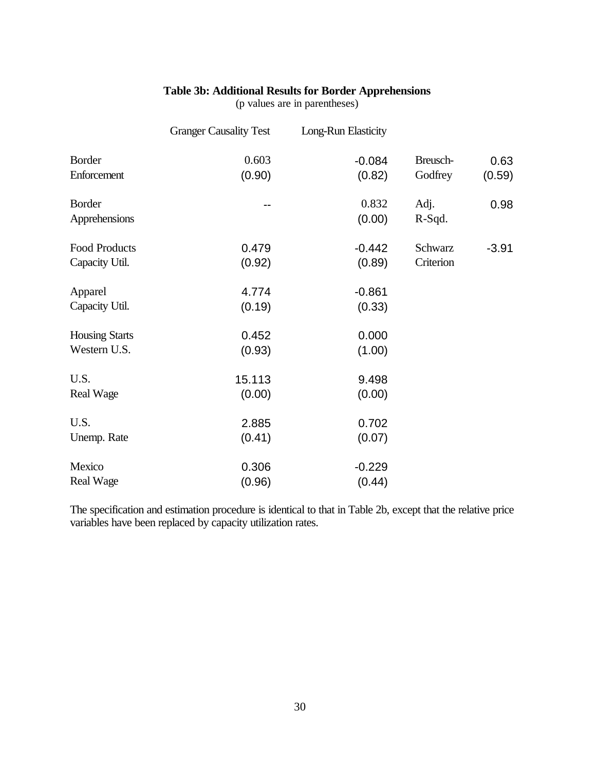#### **Table 3b: Additional Results for Border Apprehensions**

(p values are in parentheses)

|                       | <b>Granger Causality Test</b> | Long-Run Elasticity |           |         |
|-----------------------|-------------------------------|---------------------|-----------|---------|
| <b>Border</b>         | 0.603                         | $-0.084$            | Breusch-  | 0.63    |
| Enforcement           | (0.90)                        | (0.82)              | Godfrey   | (0.59)  |
| <b>Border</b>         |                               | 0.832               | Adj.      | 0.98    |
| Apprehensions         |                               | (0.00)              | R-Sqd.    |         |
| Food Products         | 0.479                         | $-0.442$            | Schwarz   | $-3.91$ |
| Capacity Util.        | (0.92)                        | (0.89)              | Criterion |         |
| Apparel               | 4.774                         | $-0.861$            |           |         |
| Capacity Util.        | (0.19)                        | (0.33)              |           |         |
| <b>Housing Starts</b> | 0.452                         | 0.000               |           |         |
| Western U.S.          | (0.93)                        | (1.00)              |           |         |
| U.S.                  | 15.113                        | 9.498               |           |         |
| <b>Real Wage</b>      | (0.00)                        | (0.00)              |           |         |
| U.S.                  | 2.885                         | 0.702               |           |         |
| Unemp. Rate           | (0.41)                        | (0.07)              |           |         |
| Mexico                | 0.306                         | $-0.229$            |           |         |
| <b>Real Wage</b>      | (0.96)                        | (0.44)              |           |         |

The specification and estimation procedure is identical to that in Table 2b, except that the relative price variables have been replaced by capacity utilization rates.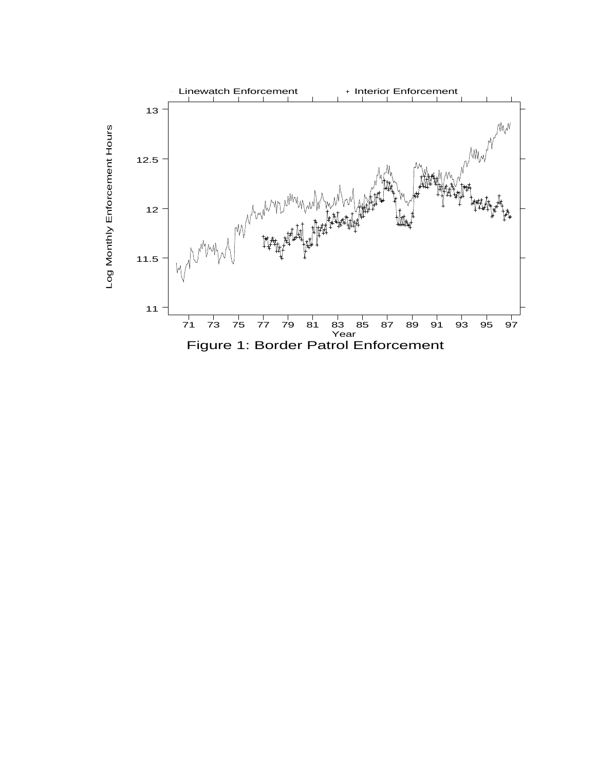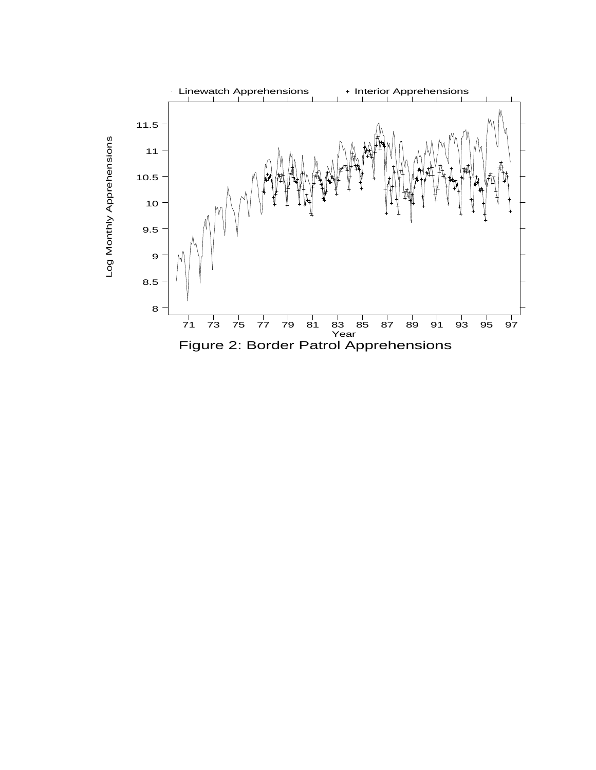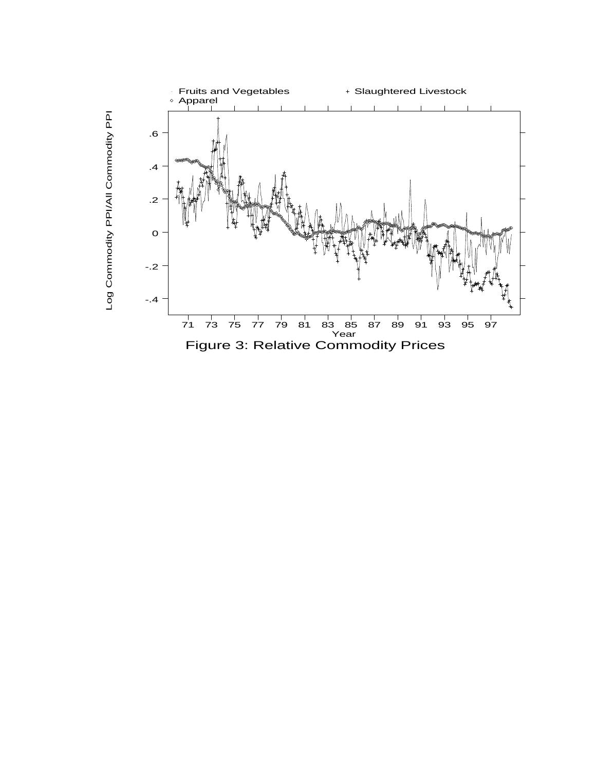